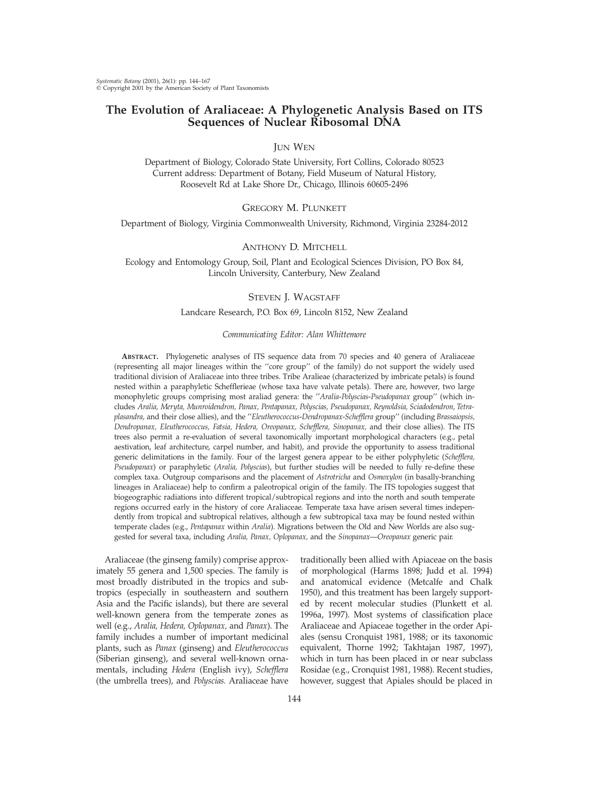# **The Evolution of Araliaceae: A Phylogenetic Analysis Based on ITS Sequences of Nuclear Ribosomal DNA**

# JUN WEN

Department of Biology, Colorado State University, Fort Collins, Colorado 80523 Current address: Department of Botany, Field Museum of Natural History, Roosevelt Rd at Lake Shore Dr., Chicago, Illinois 60605-2496

# GREGORY M. PLUNKETT

Department of Biology, Virginia Commonwealth University, Richmond, Virginia 23284-2012

## ANTHONY D. MITCHELL

Ecology and Entomology Group, Soil, Plant and Ecological Sciences Division, PO Box 84, Lincoln University, Canterbury, New Zealand

## STEVEN J. WAGSTAFF

## Landcare Research, P.O. Box 69, Lincoln 8152, New Zealand

#### *Communicating Editor: Alan Whittemore*

**ABSTRACT.** Phylogenetic analyses of ITS sequence data from 70 species and 40 genera of Araliaceae (representing all major lineages within the ''core group'' of the family) do not support the widely used traditional division of Araliaceae into three tribes. Tribe Aralieae (characterized by imbricate petals) is found nested within a paraphyletic Schefflerieae (whose taxa have valvate petals). There are, however, two large monophyletic groups comprising most araliad genera: the ''*Aralia*-*Polyscias*-*Pseudopanax* group'' (which includes *Aralia, Meryta, Munroidendron, Panax, Pentapanax, Polyscias, Pseudopanax, Reynoldsia, Sciadodendron, Tetraplasandra,* and their close allies), and the ''*Eleutherococcus*-*Dendropanax*-*Schefflera* group'' (including *Brassaiopsis, Dendropanax, Eleutherococcus, Fatsia, Hedera, Oreopanax, Schefflera, Sinopanax,* and their close allies). The ITS trees also permit a re-evaluation of several taxonomically important morphological characters (e.g., petal aestivation, leaf architecture, carpel number, and habit), and provide the opportunity to assess traditional generic delimitations in the family. Four of the largest genera appear to be either polyphyletic (*Schefflera, Pseudopanax*) or paraphyletic (*Aralia, Polyscias*), but further studies will be needed to fully re-define these complex taxa. Outgroup comparisons and the placement of *Astrotricha* and *Osmoxylon* (in basally-branching lineages in Araliaceae) help to confirm a paleotropical origin of the family. The ITS topologies suggest that biogeographic radiations into different tropical/subtropical regions and into the north and south temperate regions occurred early in the history of core Araliaceae. Temperate taxa have arisen several times independently from tropical and subtropical relatives, although a few subtropical taxa may be found nested within temperate clades (e.g., *Pentapanax* within *Aralia*). Migrations between the Old and New Worlds are also suggested for several taxa, including *Aralia, Panax, Oplopanax,* and the *Sinopanax*—*Oreopanax* generic pair.

Araliaceae (the ginseng family) comprise approximately 55 genera and 1,500 species. The family is most broadly distributed in the tropics and subtropics (especially in southeastern and southern Asia and the Pacific islands), but there are several well-known genera from the temperate zones as well (e.g., *Aralia, Hedera, Oplopanax,* and *Panax*). The family includes a number of important medicinal plants, such as *Panax* (ginseng) and *Eleutherococcus* (Siberian ginseng), and several well-known ornamentals, including *Hedera* (English ivy), *Schefflera* (the umbrella trees), and *Polyscias.* Araliaceae have

traditionally been allied with Apiaceae on the basis of morphological (Harms 1898; Judd et al. 1994) and anatomical evidence (Metcalfe and Chalk 1950), and this treatment has been largely supported by recent molecular studies (Plunkett et al. 1996a, 1997). Most systems of classification place Araliaceae and Apiaceae together in the order Apiales (sensu Cronquist 1981, 1988; or its taxonomic equivalent, Thorne 1992; Takhtajan 1987, 1997), which in turn has been placed in or near subclass Rosidae (e.g., Cronquist 1981, 1988). Recent studies, however, suggest that Apiales should be placed in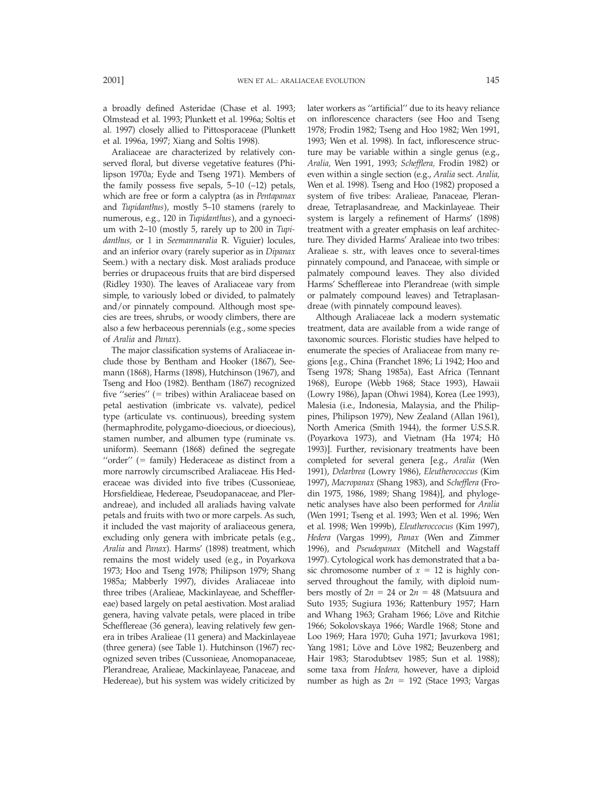a broadly defined Asteridae (Chase et al. 1993; Olmstead et al. 1993; Plunkett et al. 1996a; Soltis et al. 1997) closely allied to Pittosporaceae (Plunkett et al. 1996a, 1997; Xiang and Soltis 1998).

Araliaceae are characterized by relatively conserved floral, but diverse vegetative features (Philipson 1970a; Eyde and Tseng 1971). Members of the family possess five sepals,  $5-10$   $(-12)$  petals, which are free or form a calyptra (as in *Pentapanax* and *Tupidanthus*), mostly 5–10 stamens (rarely to numerous, e.g., 120 in *Tupidanthus*), and a gynoecium with 2–10 (mostly 5, rarely up to 200 in *Tupidanthus,* or 1 in *Seemannaralia* R. Viguier) locules, and an inferior ovary (rarely superior as in *Dipanax* Seem.) with a nectary disk. Most araliads produce berries or drupaceous fruits that are bird dispersed (Ridley 1930). The leaves of Araliaceae vary from simple, to variously lobed or divided, to palmately and/or pinnately compound. Although most species are trees, shrubs, or woody climbers, there are also a few herbaceous perennials (e.g., some species of *Aralia* and *Panax*).

The major classification systems of Araliaceae include those by Bentham and Hooker (1867), Seemann (1868), Harms (1898), Hutchinson (1967), and Tseng and Hoo (1982). Bentham (1867) recognized five "series"  $(=$  tribes) within Araliaceae based on petal aestivation (imbricate vs. valvate), pedicel type (articulate vs. continuous), breeding system (hermaphrodite, polygamo-dioecious, or dioecious), stamen number, and albumen type (ruminate vs. uniform). Seemann (1868) defined the segregate " $order" (= family) Hederaceae as distinct from a$ more narrowly circumscribed Araliaceae. His Hederaceae was divided into five tribes (Cussonieae, Horsfieldieae, Hedereae, Pseudopanaceae, and Plerandreae), and included all araliads having valvate petals and fruits with two or more carpels. As such, it included the vast majority of araliaceous genera, excluding only genera with imbricate petals (e.g., *Aralia* and *Panax*). Harms' (1898) treatment, which remains the most widely used (e.g., in Poyarkova 1973; Hoo and Tseng 1978; Philipson 1979; Shang 1985a; Mabberly 1997), divides Araliaceae into three tribes (Aralieae, Mackinlayeae, and Schefflereae) based largely on petal aestivation. Most araliad genera, having valvate petals, were placed in tribe Schefflereae (36 genera), leaving relatively few genera in tribes Aralieae (11 genera) and Mackinlayeae (three genera) (see Table 1). Hutchinson (1967) recognized seven tribes (Cussonieae, Anomopanaceae, Plerandreae, Aralieae, Mackinlayeae, Panaceae, and Hedereae), but his system was widely criticized by later workers as ''artificial'' due to its heavy reliance on inflorescence characters (see Hoo and Tseng 1978; Frodin 1982; Tseng and Hoo 1982; Wen 1991, 1993; Wen et al. 1998). In fact, inflorescence structure may be variable within a single genus (e.g., *Aralia,* Wen 1991, 1993; *Schefflera,* Frodin 1982) or even within a single section (e.g., *Aralia* sect. *Aralia,* Wen et al. 1998). Tseng and Hoo (1982) proposed a system of five tribes: Aralieae, Panaceae, Plerandreae, Tetraplasandreae, and Mackinlayeae. Their system is largely a refinement of Harms' (1898) treatment with a greater emphasis on leaf architecture. They divided Harms' Aralieae into two tribes: Aralieae s. str., with leaves once to several-times pinnately compound, and Panaceae, with simple or palmately compound leaves. They also divided Harms' Schefflereae into Plerandreae (with simple or palmately compound leaves) and Tetraplasandreae (with pinnately compound leaves).

Although Araliaceae lack a modern systematic treatment, data are available from a wide range of taxonomic sources. Floristic studies have helped to enumerate the species of Araliaceae from many regions [e.g., China (Franchet 1896; Li 1942; Hoo and Tseng 1978; Shang 1985a), East Africa (Tennant 1968), Europe (Webb 1968; Stace 1993), Hawaii (Lowry 1986), Japan (Ohwi 1984), Korea (Lee 1993), Malesia (i.e., Indonesia, Malaysia, and the Philippines, Philipson 1979), New Zealand (Allan 1961), North America (Smith 1944), the former U.S.S.R. (Poyarkova 1973), and Vietnam (Ha 1974; Hô 1993)]. Further, revisionary treatments have been completed for several genera [e.g., *Aralia* (Wen 1991), *Delarbrea* (Lowry 1986), *Eleutherococcus* (Kim 1997), *Macropanax* (Shang 1983), and *Schefflera* (Frodin 1975, 1986, 1989; Shang 1984)], and phylogenetic analyses have also been performed for *Aralia* (Wen 1991; Tseng et al. 1993; Wen et al. 1996; Wen et al. 1998; Wen 1999b), *Eleutheroccocus* (Kim 1997), *Hedera* (Vargas 1999), *Panax* (Wen and Zimmer 1996), and *Pseudopanax* (Mitchell and Wagstaff 1997). Cytological work has demonstrated that a basic chromosome number of  $x = 12$  is highly conserved throughout the family, with diploid numbers mostly of  $2n = 24$  or  $2n = 48$  (Matsuura and Suto 1935; Sugiura 1936; Rattenbury 1957; Harn and Whang 1963; Graham 1966; Löve and Ritchie 1966; Sokolovskaya 1966; Wardle 1968; Stone and Loo 1969; Hara 1970; Guha 1971; Javurkova 1981; Yang 1981; Löve and Löve 1982; Beuzenberg and Hair 1983; Starodubtsev 1985; Sun et al. 1988); some taxa from *Hedera,* however, have a diploid number as high as  $2n = 192$  (Stace 1993; Vargas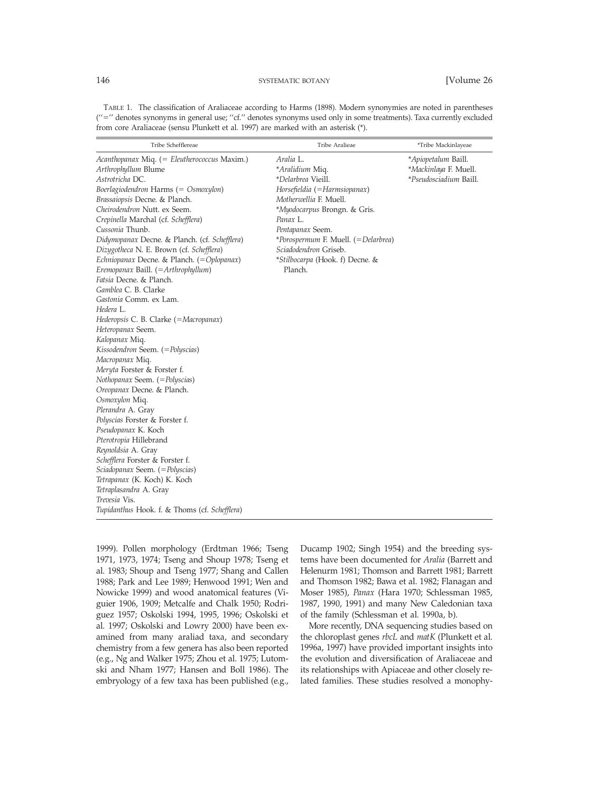| TABLE 1. The classification of Araliaceae according to Harms (1898). Modern synonymies are noted in parentheses     |
|---------------------------------------------------------------------------------------------------------------------|
| ("=" denotes synonyms in general use; "cf." denotes synonyms used only in some treatments). Taxa currently excluded |
| from core Araliaceae (sensu Plunkett et al. 1997) are marked with an asterisk (*).                                  |

| Tribe Schefflereae                                                                                                                                                                                                                                                                                                                                                                                                                                                                                                                                                                                                                                                                                                                                                                                                                                                                                                                                                                                                                                                                                                                | Tribe Aralieae                                                                                                                                                                                                                                                                             | *Tribe Mackinlayeae                                                           |
|-----------------------------------------------------------------------------------------------------------------------------------------------------------------------------------------------------------------------------------------------------------------------------------------------------------------------------------------------------------------------------------------------------------------------------------------------------------------------------------------------------------------------------------------------------------------------------------------------------------------------------------------------------------------------------------------------------------------------------------------------------------------------------------------------------------------------------------------------------------------------------------------------------------------------------------------------------------------------------------------------------------------------------------------------------------------------------------------------------------------------------------|--------------------------------------------------------------------------------------------------------------------------------------------------------------------------------------------------------------------------------------------------------------------------------------------|-------------------------------------------------------------------------------|
| Acanthopanax Miq. (= Eleutherococcus Maxim.)<br>Arthrophyllum Blume<br>Astrotricha DC.<br>Boerlagiodendron Harms $(= Osmoxylon)$<br>Brassaiopsis Decne. & Planch.<br>Cheirodendron Nutt. ex Seem.<br>Crepinella Marchal (cf. Schefflera)<br>Cussonia Thunb.<br>Didymopanax Decne. & Planch. (cf. Schefflera)<br>Dizygotheca N. E. Brown (cf. Schefflera)<br>Echniopanax Decne. & Planch. (=Oplopanax)<br>Eremopanax Baill. $(=\!Arthrophyllum)$<br>Fatsia Decne. & Planch.<br>Gamblea C. B. Clarke<br>Gastonia Comm. ex Lam.<br>Hedera L.<br>Hederopsis C. B. Clarke (=Macropanax)<br>Heteropanax Seem.<br>Kalopanax Miq.<br>Kissodendron Seem. (= Polyscias)<br>Macropanax Miq.<br>Meryta Forster & Forster f.<br>Nothopanax Seem. (= Polyscias)<br>Oreopanax Decne. & Planch.<br>Osmoxylon Miq.<br>Plerandra A. Gray<br>Polyscias Forster & Forster f.<br>Pseudopanax K. Koch<br>Pterotropia Hillebrand<br>Reynoldsia A. Gray<br>Schefflera Forster & Forster f.<br>Sciadopanax Seem. (= Polyscias)<br>Tetrapanax (K. Koch) K. Koch<br>Tetraplasandra A. Gray<br>Trevesia Vis.<br>Tupidanthus Hook. f. & Thoms (cf. Schefflera) | Aralia L.<br>*Aralidium Miq.<br>*Delarbrea Vieill.<br>Horsefieldia (=Harmsiopanax)<br>Motherwellia F. Muell.<br>*Myodocarpus Brongn. & Gris.<br>Panax L.<br>Pentapanax Seem.<br>*Porospermum F. Muell. (=Delarbrea)<br>Sciadodendron Griseb.<br>*Stilbocarpa (Hook. f) Decne. &<br>Planch. | <i>*Apiopetalum Baill.</i><br>*Mackinlaya F. Muell.<br>*Pseudosciadium Baill. |

1999). Pollen morphology (Erdtman 1966; Tseng 1971, 1973, 1974; Tseng and Shoup 1978; Tseng et al. 1983; Shoup and Tseng 1977; Shang and Callen 1988; Park and Lee 1989; Henwood 1991; Wen and Nowicke 1999) and wood anatomical features (Viguier 1906, 1909; Metcalfe and Chalk 1950; Rodriguez 1957; Oskolski 1994, 1995, 1996; Oskolski et al. 1997; Oskolski and Lowry 2000) have been examined from many araliad taxa, and secondary chemistry from a few genera has also been reported (e.g., Ng and Walker 1975; Zhou et al. 1975; Lutomski and Nham 1977; Hansen and Boll 1986). The embryology of a few taxa has been published (e.g., Ducamp 1902; Singh 1954) and the breeding systems have been documented for *Aralia* (Barrett and Helenurm 1981; Thomson and Barrett 1981; Barrett and Thomson 1982; Bawa et al. 1982; Flanagan and Moser 1985), *Panax* (Hara 1970; Schlessman 1985, 1987, 1990, 1991) and many New Caledonian taxa of the family (Schlessman et al. 1990a, b).

More recently, DNA sequencing studies based on the chloroplast genes *rbcL* and *matK* (Plunkett et al. 1996a, 1997) have provided important insights into the evolution and diversification of Araliaceae and its relationships with Apiaceae and other closely related families. These studies resolved a monophy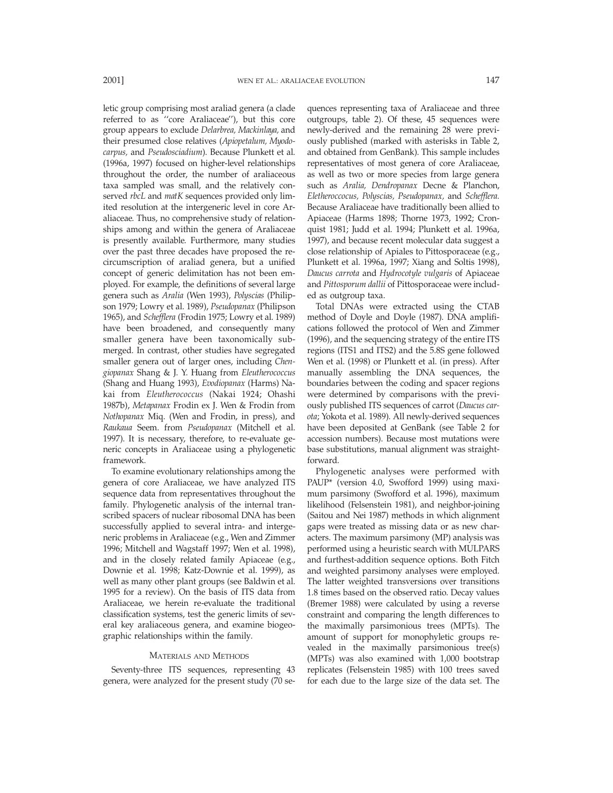letic group comprising most araliad genera (a clade referred to as ''core Araliaceae''), but this core group appears to exclude *Delarbrea, Mackinlaya,* and their presumed close relatives (*Apiopetalum, Myodocarpus,* and *Pseudosciadium*). Because Plunkett et al. (1996a, 1997) focused on higher-level relationships throughout the order, the number of araliaceous taxa sampled was small, and the relatively conserved *rbcL* and *matK* sequences provided only limited resolution at the intergeneric level in core Araliaceae. Thus, no comprehensive study of relationships among and within the genera of Araliaceae is presently available. Furthermore, many studies over the past three decades have proposed the recircumscription of araliad genera, but a unified concept of generic delimitation has not been employed. For example, the definitions of several large genera such as *Aralia* (Wen 1993), *Polyscias* (Philipson 1979; Lowry et al. 1989), *Pseudopanax* (Philipson 1965), and *Schefflera* (Frodin 1975; Lowry et al. 1989) have been broadened, and consequently many smaller genera have been taxonomically submerged. In contrast, other studies have segregated smaller genera out of larger ones, including *Chengiopanax* Shang & J. Y. Huang from *Eleutherococcus* (Shang and Huang 1993), *Evodiopanax* (Harms) Nakai from *Eleutherococcus* (Nakai 1924; Ohashi 1987b), *Metapanax* Frodin ex J. Wen & Frodin from *Nothopanax* Miq. (Wen and Frodin, in press), and *Raukaua* Seem. from *Pseudopanax* (Mitchell et al. 1997). It is necessary, therefore, to re-evaluate generic concepts in Araliaceae using a phylogenetic framework.

To examine evolutionary relationships among the genera of core Araliaceae, we have analyzed ITS sequence data from representatives throughout the family. Phylogenetic analysis of the internal transcribed spacers of nuclear ribosomal DNA has been successfully applied to several intra- and intergeneric problems in Araliaceae (e.g., Wen and Zimmer 1996; Mitchell and Wagstaff 1997; Wen et al. 1998), and in the closely related family Apiaceae (e.g., Downie et al. 1998; Katz-Downie et al. 1999), as well as many other plant groups (see Baldwin et al. 1995 for a review). On the basis of ITS data from Araliaceae, we herein re-evaluate the traditional classification systems, test the generic limits of several key araliaceous genera, and examine biogeographic relationships within the family.

### MATERIALS AND METHODS

Seventy-three ITS sequences, representing 43 genera, were analyzed for the present study (70 sequences representing taxa of Araliaceae and three outgroups, table 2). Of these, 45 sequences were newly-derived and the remaining 28 were previously published (marked with asterisks in Table 2, and obtained from GenBank). This sample includes representatives of most genera of core Araliaceae, as well as two or more species from large genera such as *Aralia, Dendropanax* Decne & Planchon, *Eletheroccocus, Polyscias, Pseudopanax,* and *Schefflera.* Because Araliaceae have traditionally been allied to Apiaceae (Harms 1898; Thorne 1973, 1992; Cronquist 1981; Judd et al. 1994; Plunkett et al. 1996a, 1997), and because recent molecular data suggest a close relationship of Apiales to Pittosporaceae (e.g., Plunkett et al. 1996a, 1997; Xiang and Soltis 1998), *Daucus carrota* and *Hydrocotyle vulgaris* of Apiaceae and *Pittosporum dallii* of Pittosporaceae were included as outgroup taxa.

Total DNAs were extracted using the CTAB method of Doyle and Doyle (1987). DNA amplifications followed the protocol of Wen and Zimmer (1996), and the sequencing strategy of the entire ITS regions (ITS1 and ITS2) and the 5.8S gene followed Wen et al. (1998) or Plunkett et al. (in press). After manually assembling the DNA sequences, the boundaries between the coding and spacer regions were determined by comparisons with the previously published ITS sequences of carrot (*Daucus carota*; Yokota et al. 1989). All newly-derived sequences have been deposited at GenBank (see Table 2 for accession numbers). Because most mutations were base substitutions, manual alignment was straightforward.

Phylogenetic analyses were performed with PAUP\* (version 4.0, Swofford 1999) using maximum parsimony (Swofford et al. 1996), maximum likelihood (Felsenstein 1981), and neighbor-joining (Saitou and Nei 1987) methods in which alignment gaps were treated as missing data or as new characters. The maximum parsimony (MP) analysis was performed using a heuristic search with MULPARS and furthest-addition sequence options. Both Fitch and weighted parsimony analyses were employed. The latter weighted transversions over transitions 1.8 times based on the observed ratio. Decay values (Bremer 1988) were calculated by using a reverse constraint and comparing the length differences to the maximally parsimonious trees (MPTs). The amount of support for monophyletic groups revealed in the maximally parsimonious tree(s) (MPTs) was also examined with 1,000 bootstrap replicates (Felsenstein 1985) with 100 trees saved for each due to the large size of the data set. The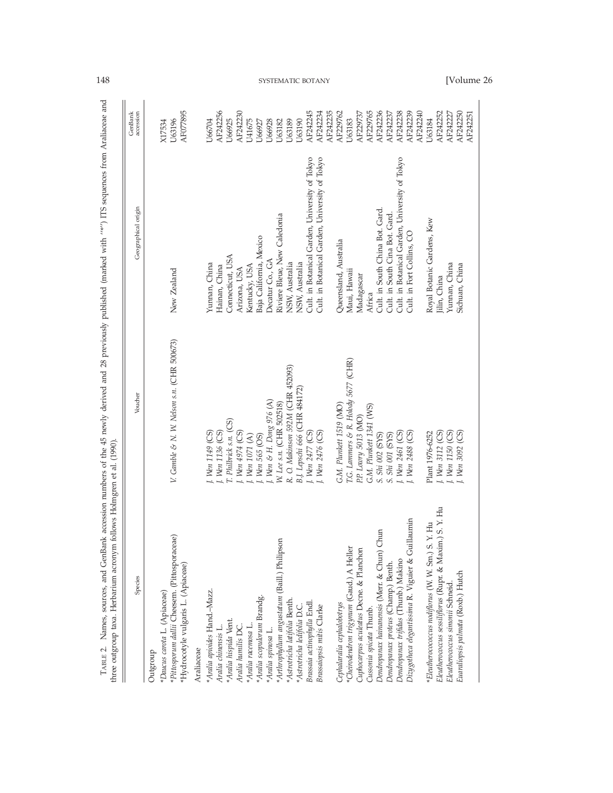| Species                                                 | Voucher                                    | Geographical origin                            | GenBank<br>accession |                   |
|---------------------------------------------------------|--------------------------------------------|------------------------------------------------|----------------------|-------------------|
| *Daucus carota L. (Apiaceae)<br>Outgroup                |                                            |                                                | X17534               |                   |
| *Pittosporum dallii Cheesem. (Pittosporaceae)           | V. Gamble & N. W. Nelson s.n. (CHR 500673) | New Zealand                                    | U63196               |                   |
| "Hydrocotyle vulgaris L. (Apiaceae)<br>Araliaceae       |                                            |                                                | AF077895             |                   |
| *Aralia apioides Hand.-Mazz.                            |                                            |                                                |                      |                   |
| Aralia chinensis L.                                     | J. Wen 1136 (CS)<br>J. Wen 1149 (CS)       | Yunnan, China<br>Hainan, China                 | AF242256<br>U66704   |                   |
| *Aralia hispida Vent.                                   | T. Philbrick s.n. (CS)                     | Connecticut, USA                               | U66925               |                   |
| Aralia humilis DC.                                      | J. Wen 4974 (CS)                           | Arizona, USA                                   | AF242230             |                   |
| *Aralia racemosa L.                                     | I. Wen 1071 (A)                            | Kentucky, USA                                  | U41675               |                   |
| *Aralia scopulorum Brandg.                              | I. Wen 565 (OS)                            | Baja California, Mexico                        | U66927               |                   |
| *Aralia spinosa L.                                      | J. Wen & H. Dong 976 (A)                   | Decatur Co., GA                                | U66928               |                   |
| *Arthrophyllum angustatum (Baill.) Philipson            | W. Lee s.n. (CHR 502518)                   | Riviere Bleue, New Caledonia                   | U63182               |                   |
| Astrotricha latifolia Benth.                            | R. O. Makinson 592M (CHR 452093)           | NSW, Australia                                 | U63189               |                   |
| *Astrotricha ledifolia D.C.                             | B.J. Lepschi 666 (CHR 484172)              | NSW, Australia                                 | U63190               |                   |
| Brassaia actinophylla Endl.                             | J. Wen 2477 (CS)                           | Cult. in Botanical Garden, University of Tokyo | AF242245             |                   |
| Brassaiopsis mitis Clarke                               | J. Wen 2476 (CS)                           | Cult. in Botanical Garden, University of Tokyo | AF242234<br>AF242235 | SYSTEMATIC BOTANY |
| Cephalaralia cephalobotrys                              | G.M. Plunkett 1519 (MO)                    | Queensland, Australia                          | AF229762             |                   |
| *Cheirodendron trigynum (Gaud.) A Heller                | T.G. Lammers & R. Holody 5677 (CHR)        | Maui, Hawaii                                   | U63183               |                   |
| Cuphocarpus aculeatus Decne. & Planchon                 | P.P. Lowry 5013 (MO)                       | Madagascar                                     | AF229737             |                   |
| Cussonia spicata Thunb.                                 | G.M. Plunkett 1341 (WS)                    | Africa                                         | AF229765             |                   |
| Dendropanax hainanensis (Merr. & Chun) Chun             | S. Shi 002 (SYS)                           | Cult. in South China Bot. Gard.                | AF242236             |                   |
| Dendropanax proteus (Champ.) Benth.                     | S. Shi 001 (SYS)                           | Cult. in South Cina Bot. Gard.                 | AF242237             |                   |
| Dendropanax trifidus (Thunb.) Makino                    | J. Wen 2461 (CS)                           | Cult. in Botanical Garden, University of Tokyo | AF242238             |                   |
| Dizygotheca elegantissima R. Viguier & Guillaumin       | J. Wen 2488 (CS)                           | Cult. in Fort Collins, CO                      | AF242239<br>AF242240 |                   |
| *Eleutherocococcus nodiflorus (W. W. Sm.) S. Y. Hu      | Plant 1976-6252                            | Royal Botanic Gardens, Kew                     | U63184               |                   |
| Eleutherococcus sessiliflorus (Rupr. & Maxim.) S. Y. Hu | J. Wen 3112 (CS)                           | lilin, China                                   | AF242252             |                   |
| Eleutherococcus simonii Schneid.                        | J. Wen 1150 (CS)                           | Yunnan, China                                  | AF242227             |                   |
| Euaraliopsis palmata (Roxb.) Hutch                      | J. Wen 3092 (CS)                           | Sichuan, China                                 | AF242250             | [Volume 26        |
|                                                         |                                            |                                                | AF242251             |                   |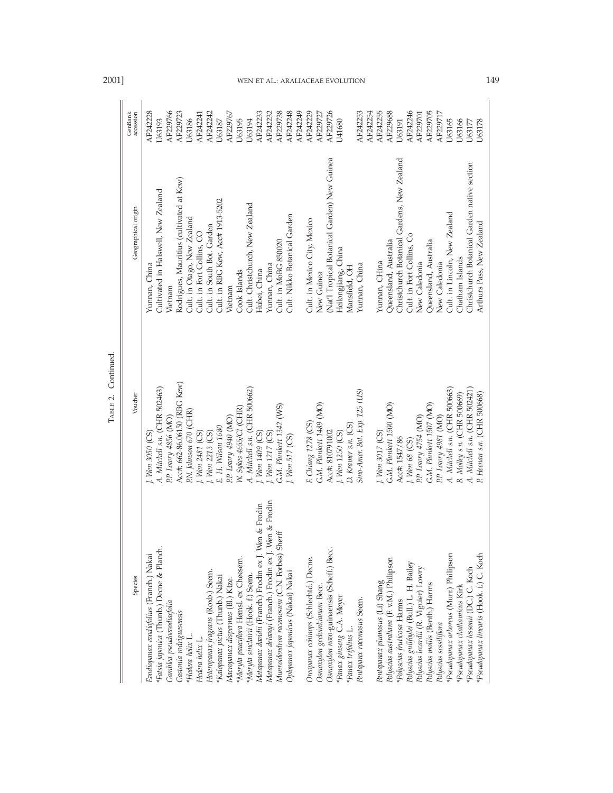| Species                                                                         | Voucher                                                      | Geographical origin                                                       | accession<br>GenBank    |
|---------------------------------------------------------------------------------|--------------------------------------------------------------|---------------------------------------------------------------------------|-------------------------|
| Evodiopanax evodiofolius (Franch.) Nakai                                        | I. Wen 3050 (CS)                                             | Yunnan, China                                                             | AF242228                |
| Fatsia japonica (Thunb.) Decne & Planch.                                        | A. Mitchell s.n. (CHR 502463)                                | Cultivated in Halswell, New Zealand                                       | U63193                  |
| Gamblea pseudoevodiaefolia                                                      | P.P. Lowry 4856 (MO)                                         | Vietnam                                                                   | AF229766                |
| Gastonia rodriguesensis                                                         | Acc#: 662-86.06150 (RBG Kew)                                 | Rodrigues, Mauritius (cultivated at Kew)                                  | AF229723                |
| *Hedera helix L.                                                                | P.N. Johnson 670 (CHR)                                       | Cult. in Otago, New Zealand                                               | U63186                  |
| Hedera helix L.                                                                 | 1. Wen 2481 (CS)                                             | Cult. in Fort Collins, CO                                                 | AF242241                |
| Heteropanax fragrans (Roxb.) Seem.                                              | I. Wen 2213 (CS)                                             | Cult. in South Bot. Garden                                                | AF242242                |
| *Kalopanax pictus (Thunb.) Nakai                                                | E. H. Wilson 1680                                            | Cult. in RBG Kew, Acc# 1913-5202                                          | U63187                  |
| Macropanax dispermus (Bl.) Ktze.                                                | P.P. Lowry 4940 (MO)                                         | Vietnam                                                                   | AF229767                |
| 'Meryta pauciflora Hemsl. ex Cheesem.                                           | W. Sykes 4655/CI (CHR)                                       | Cook Islands                                                              | <b>J63195</b>           |
| 'Meryta sinclairii (Hook. f.) Seem.                                             | A. Mitchell s.n. (CHR 500662)                                | Cult. Christchurch, New Zealand                                           | U63194                  |
| Metapanax davidii (Franch.) Frodin ex J. Wen & Frodin                           | 1. Wen 1409 (CS)                                             | Hubei, China                                                              | AF242233                |
| Metapanax delavaji (Franch.) Frodin ex J. Wen & Frodin                          | I. Wen 1217 (CS)                                             | Yunnan, China                                                             | AF242232                |
| Munroidendron racemosum (C.N. Forbes) Sherff                                    | G.M. Plunkett 1342 (WS)                                      | Cult. in MoBG 850020                                                      | AF229738                |
| Oplopanax japonicus (Nakai) Nakai                                               | 1. Wen 517 (CS)                                              | Cult. Nikko Botanical Garden                                              | AF242248                |
|                                                                                 |                                                              |                                                                           | AF242249                |
| Oreopanax echinops (Schlechtd.) Decne.                                          | F. Chiang 1278 (CS)                                          | Cult. in Mexico City, Mexico                                              | AF242229                |
| Osmoxylon geelvinkianum Becc.                                                   | G.M. Plunkett 1489 (MO)                                      | New Guinea                                                                | AF229727                |
| Osmoxylon novo-guinaensis (Scheff.) Becc.                                       | Acc#: 810791002                                              | (Nat'l Tropical Botanical Garden) New Guinea                              | AF229726                |
| *Panax ginseng C.A. Meyer                                                       | I. Wen 1250 (CS)                                             | Heilongjiang, China                                                       | <b>U41680</b>           |
| Panax trifolius L.                                                              | D. Kraner s.n. (CS)                                          | Mansfield, OH                                                             |                         |
| Pentapanx racemosus Seem.                                                       | Sino-Amer. Bot. Exp. 125 (US)                                | Yunnan, China                                                             | AF242253<br>AF242254    |
| Pentapanax plumosus (Li) Shang                                                  | I. Wen 3017 (CS)                                             | Yunnan, CHina                                                             | AF242255                |
| Polyscias australiana (F. v.M.) Philipson                                       | G.M. Plunkett 1500 (MO)                                      | Queensland, Australia                                                     | AF229688                |
| *Polyscias fruticosa Harms                                                      | Acc#: 1547/86                                                | Christchurch Botanical Gardens, New Zealand                               | U63191                  |
| Polyscias guilfoylei (Bull.) L. H. Bailey                                       | $I.$ Wen 68 (CS)                                             | Cult. in Fort Collins, Co                                                 | AF242246                |
| Polyscias lecardii (R. Viguier) Lowry                                           | P.P. Lowry 4754 (MO)                                         | New Caledonia                                                             | AF229701                |
| Polyscias mollis (Benth.) Harms                                                 | G.M. Plunkett 1507 (MO)                                      | Queensland, Australia                                                     | AF229705                |
| Polyscias sessiliflora                                                          | P.P. Lowry 4981 (MO)                                         | New Caledonia                                                             | AF229717                |
| *Pseudopanax arboreus (Murr.) Philipson                                         | A. Mitchell s.n. (CHR 500663)                                | Cult. in Lincoln, New Zealand                                             | U63165                  |
| Pseudopanax chathamicus Kirk                                                    | B. Molley s.n. (CHR 500669)                                  | Chatham Islands                                                           | U63166                  |
| *Pseudopanax linearis (Hook. f.) C. Koch<br>*Pseudopanax lessonii (DC.) C. Koch | A. Mitchell s.n. (CHR 502421)<br>P. Heenan s.n. (CHR 500668) | Christchurch Botanical Garden native section<br>Arthurs Pass, New Zealand | <b>J63178</b><br>U63177 |
|                                                                                 |                                                              |                                                                           |                         |

TABLE 2. Continued. TABLE 2. Continued.

# 2001] WEN ET AL.: ARALIACEAE EVOLUTION 149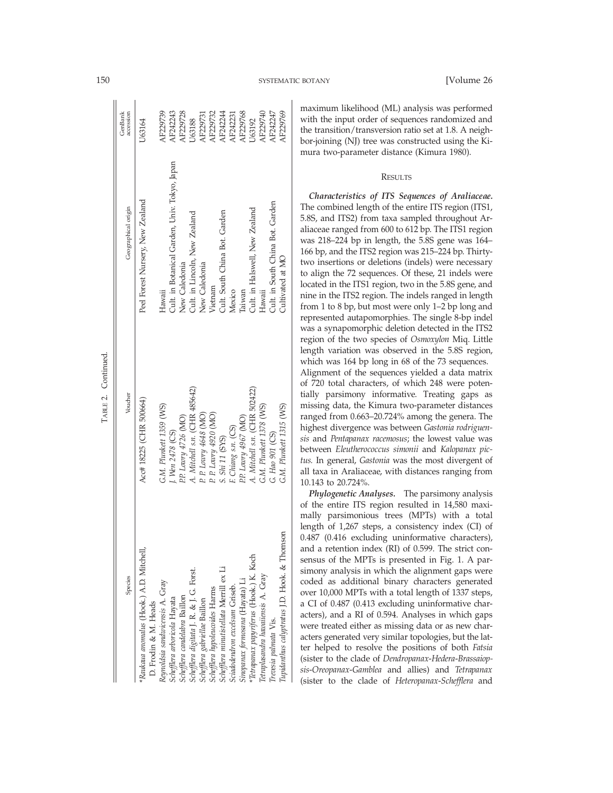| Species                                                         | Voucher                       | Geographical origin                           | GenBank<br>accession |
|-----------------------------------------------------------------|-------------------------------|-----------------------------------------------|----------------------|
| Raukaua anomalus (Hook.) A.D. Mitchell,<br>D. Frodin & M. Heads | Acc# 18225 (CHR 500664)       | Peel Forest Nursery, New Zealand              | U63164               |
| Reynoldsia sandwicensis A. Gray                                 | G.M. Plunkett 1359 (WS)       | Hawaii                                        | <b>LF229739</b>      |
| Schefflera arboricola Hayata                                    | I. Wen 2478 (CS)              | Cult. in Botanical Garden, Univ. Tokyo, Japan | AF242243             |
| Schefflera candelabra Baillon                                   | P.P. Lowry 4726 (MO)          | New Caledonia                                 | <b>AF229728</b>      |
| Schefflera digitata J. R. & J. G. Forst.                        | A. Mitchell s.n. (CHR 485642) | Cult. in Lincoln, New Zealand                 | J63188               |
| Schefflera gabriellae Baillon                                   | P. P. Lowry 4648 (MO)         | New Caledonia                                 | <b>AF229731</b>      |
| Schefflera hypoleucoides Harms                                  | P. P. Lowry 4920 (MO)         | Vietnam                                       | <b>LE229732</b>      |
| Schefflera minutistellata Merrill ex Li                         | S. Shi 11 (SYS)               | Cult. South China Bot. Garden                 | NF242244             |
| sciadodendron excelsum Griseb.                                  | F. Chiang s.n. (CS)           | Mexico                                        | <b>NF242231</b>      |
| Sinopanax formosana (Hayata) Li                                 | P.P. Lowry 4967 (MO)          | <b>Taiwan</b>                                 | <b>LF229768</b>      |
| Tetrapanax papyriferus (Hook.) K. Koch                          | A. Mitchell s.n. (CHR 502422) | Cult. in Halswell, New Zealand                | J63192               |
| letraplasandra havaiiensis A. Gray                              | G.M. Plunkett 1378 (WS)       | Hawaii                                        | AF229740             |
| Trevesia palmata Vis.                                           | G. Hao 901 (CS)               | Cult. in South China Bot. Garden              | LF242247             |
| Tupidanthus calyptratus J.D. Hook. & Thomson                    | G.M. Plunkett 1315 (WS)       | Cultivated at MO                              | AF229769             |
|                                                                 |                               |                                               |                      |

maximum likelihood (ML) analysis was performed with the input order of sequences randomized and the transition/transversion ratio set at 1.8. A neighbor-joining (NJ) tree was constructed using the Kimura two-parameter distance (Kimura 1980).

# RESULTS

*Characteristics of ITS Sequences of Araliaceae.* The combined length of the entire ITS region (ITS1, 5.8S, and ITS2) from taxa sampled throughout Araliaceae ranged from 600 to 612 bp. The ITS1 region was 218–224 bp in length, the 5.8S gene was 164– 166 bp, and the ITS2 region was 215–224 bp. Thirtytwo insertions or deletions (indels) were necessary to align the 72 sequences. Of these, 21 indels were located in the ITS1 region, two in the 5.8S gene, and nine in the ITS2 region. The indels ranged in length from 1 to 8 bp, but most were only 1–2 bp long and represented autapomorphies. The single 8-bp indel was a synapomorphic deletion detected in the ITS2 region of the two species of *Osmoxylon* Miq. Little length variation was observed in the 5.8S region, which was 164 bp long in 68 of the 73 sequences. Alignment of the sequences yielded a data matrix of 720 total characters, of which 248 were potentially parsimony informative. Treating gaps as missing data, the Kimura two-parameter distances ranged from 0.663–20.724% among the genera. The highest divergence was between *Gastonia rodriguensis* and *Pentapanax racemosus*; the lowest value was between *Eleutherococcus simonii* and *Kalopanax pictus.* In general, *Gastonia* was the most divergent of all taxa in Araliaceae, with distances ranging from 10.143 to 20.724%.

*Phylogenetic Analyses.* The parsimony analysis of the entire ITS region resulted in 14,580 maximally parsimonious trees (MPTs) with a total length of 1,267 steps, a consistency index (CI) of 0.487 (0.416 excluding uninformative characters), and a retention index (RI) of 0.599. The strict consensus of the MPTs is presented in Fig. 1. A parsimony analysis in which the alignment gaps were coded as additional binary characters generated over 10,000 MPTs with a total length of 1337 steps, a CI of 0.487 (0.413 excluding uninformative characters), and a RI of 0.594. Analyses in which gaps were treated either as missing data or as new characters generated very similar topologies, but the latter helped to resolve the positions of both *Fatsia* (sister to the clade of *Dendropanax*-*Hedera*-*Brassaiopsis*-*Oreopanax*-*Gamblea* and allies) and *Tetrapanax* (sister to the clade of *Heteropanax*-*Schefflera* and

TABLE 2. Continued.

TABLE 2. Continued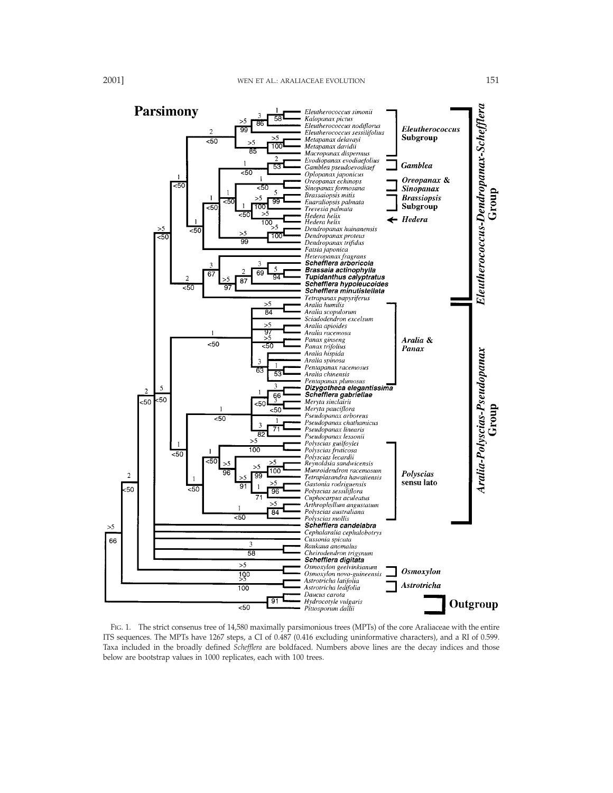

FIG. 1. The strict consenus tree of 14,580 maximally parsimonious trees (MPTs) of the core Araliaceae with the entire ITS sequences. The MPTs have 1267 steps, a CI of 0.487 (0.416 excluding uninformative characters), and a RI of 0.599. Taxa included in the broadly defined *Schefflera* are boldfaced. Numbers above lines are the decay indices and those below are bootstrap values in 1000 replicates, each with 100 trees.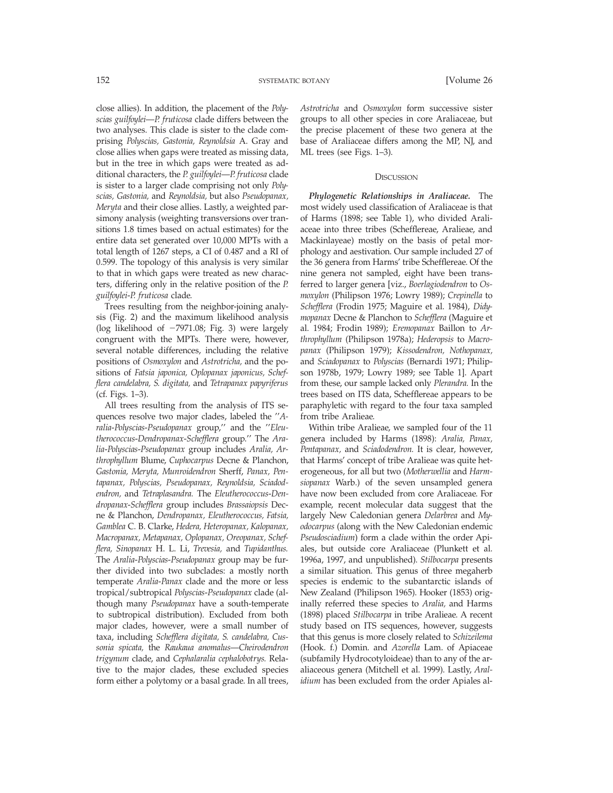close allies). In addition, the placement of the *Polyscias guilfoylei*—*P. fruticosa* clade differs between the two analyses. This clade is sister to the clade comprising *Polyscias, Gastonia, Reynoldsia* A. Gray and close allies when gaps were treated as missing data, but in the tree in which gaps were treated as additional characters, the *P. guilfoylei*—*P. fruticosa* clade is sister to a larger clade comprising not only *Polyscias, Gastonia,* and *Reynoldsia,* but also *Pseudopanax, Meryta* and their close allies. Lastly, a weighted parsimony analysis (weighting transversions over transitions 1.8 times based on actual estimates) for the entire data set generated over 10,000 MPTs with a total length of 1267 steps, a CI of 0.487 and a RI of 0.599. The topology of this analysis is very similar to that in which gaps were treated as new characters, differing only in the relative position of the *P. guilfoylei*-*P. fruticosa* clade.

Trees resulting from the neighbor-joining analysis (Fig. 2) and the maximum likelihood analysis (log likelihood of  $-7971.08$ ; Fig. 3) were largely congruent with the MPTs. There were, however, several notable differences, including the relative positions of *Osmoxylon* and *Astrotricha,* and the positions of *Fatsia japonica, Oplopanax japonicus, Schefflera candelabra, S. digitata,* and *Tetrapanax papyriferus* (cf. Figs. 1–3).

All trees resulting from the analysis of ITS sequences resolve two major clades, labeled the ''*Aralia*-*Polyscias*-*Pseudopanax* group,'' and the ''*Eleutherococcus*-*Dendropanax*-*Schefflera* group.'' The *Aralia*-*Polyscias*-*Pseudopanax* group includes *Aralia, Arthrophyllum* Blume, *Cuphocarpus* Decne & Planchon, *Gastonia, Meryta, Munroidendron* Sherff, *Panax, Pentapanax, Polyscias, Pseudopanax, Reynoldsia, Sciadodendron,* and *Tetraplasandra.* The *Eleutherococcus*-*Dendropanax*-*Schefflera* group includes *Brassaiopsis* Decne & Planchon, *Dendropanax, Eleutherococcus, Fatsia, Gamblea* C. B. Clarke, *Hedera, Heteropanax, Kalopanax, Macropanax, Metapanax, Oplopanax, Oreopanax, Schefflera, Sinopanax* H. L. Li, *Trevesia,* and *Tupidanthus.* The *Aralia*-*Polyscias*-*Pseudopanax* group may be further divided into two subclades: a mostly north temperate *Aralia*-*Panax* clade and the more or less tropical/subtropical *Polyscias*-*Pseudopanax* clade (although many *Pseudopanax* have a south-temperate to subtropical distribution). Excluded from both major clades, however, were a small number of taxa, including *Schefflera digitata, S. candelabra, Cussonia spicata,* the *Raukaua anomalus*—*Cheirodendron trigynum* clade, and *Cephalaralia cephalobotrys.* Relative to the major clades, these excluded species form either a polytomy or a basal grade. In all trees, *Astrotricha* and *Osmoxylon* form successive sister groups to all other species in core Araliaceae, but the precise placement of these two genera at the base of Araliaceae differs among the MP, NJ, and ML trees (see Figs. 1–3).

## **DISCUSSION**

*Phylogenetic Relationships in Araliaceae.* The most widely used classification of Araliaceae is that of Harms (1898; see Table 1), who divided Araliaceae into three tribes (Schefflereae, Aralieae, and Mackinlayeae) mostly on the basis of petal morphology and aestivation. Our sample included 27 of the 36 genera from Harms' tribe Schefflereae. Of the nine genera not sampled, eight have been transferred to larger genera [viz., *Boerlagiodendron* to *Osmoxylon* (Philipson 1976; Lowry 1989); *Crepinella* to *Schefflera* (Frodin 1975; Maguire et al. 1984), *Didymopanax* Decne & Planchon to *Schefflera* (Maguire et al. 1984; Frodin 1989); *Eremopanax* Baillon to *Arthrophyllum* (Philipson 1978a); *Hederopsis* to *Macropanax* (Philipson 1979); *Kissodendron, Nothopanax,* and *Sciadopanax* to *Polyscias* (Bernardi 1971; Philipson 1978b, 1979; Lowry 1989; see Table 1]. Apart from these, our sample lacked only *Plerandra.* In the trees based on ITS data, Schefflereae appears to be paraphyletic with regard to the four taxa sampled from tribe Aralieae.

Within tribe Aralieae, we sampled four of the 11 genera included by Harms (1898): *Aralia, Panax, Pentapanax,* and *Sciadodendron.* It is clear, however, that Harms' concept of tribe Aralieae was quite heterogeneous, for all but two (*Motherwellia* and *Harmsiopanax* Warb.) of the seven unsampled genera have now been excluded from core Araliaceae. For example, recent molecular data suggest that the largely New Caledonian genera *Delarbrea* and *Myodocarpus* (along with the New Caledonian endemic *Pseudosciadium*) form a clade within the order Apiales, but outside core Araliaceae (Plunkett et al. 1996a, 1997, and unpublished). *Stilbocarpa* presents a similar situation. This genus of three megaherb species is endemic to the subantarctic islands of New Zealand (Philipson 1965). Hooker (1853) originally referred these species to *Aralia,* and Harms (1898) placed *Stilbocarpa* in tribe Aralieae. A recent study based on ITS sequences, however, suggests that this genus is more closely related to *Schizeilema* (Hook. f.) Domin. and *Azorella* Lam. of Apiaceae (subfamily Hydrocotyloideae) than to any of the araliaceous genera (Mitchell et al. 1999). Lastly, *Aralidium* has been excluded from the order Apiales al-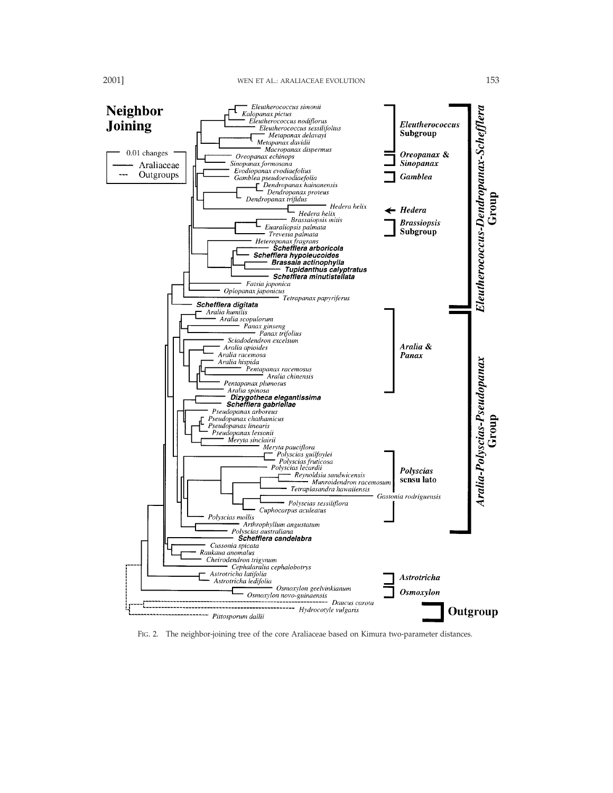

FIG. 2. The neighbor-joining tree of the core Araliaceae based on Kimura two-parameter distances.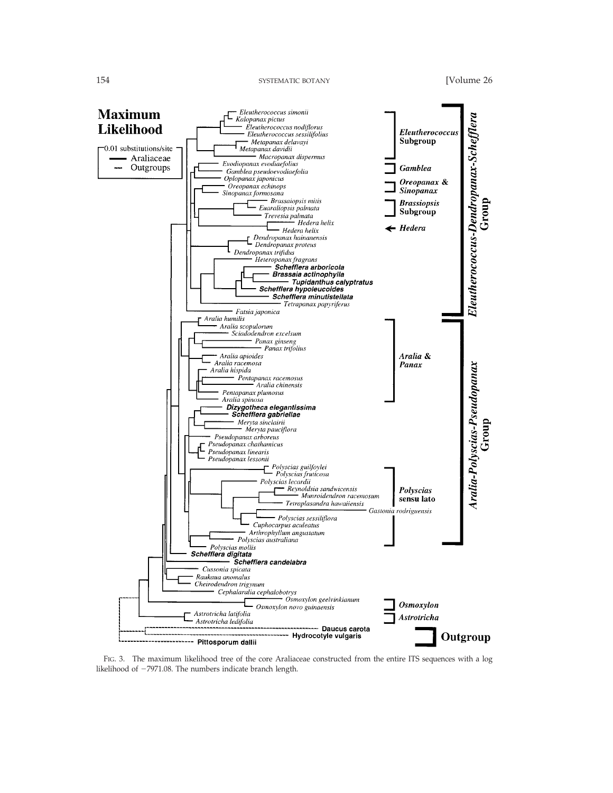154 SYSTEMATIC BOTANY [Volume 26]



FIG. 3. The maximum likelihood tree of the core Araliaceae constructed from the entire ITS sequences with a log likelihood of  $-7971.08$ . The numbers indicate branch length.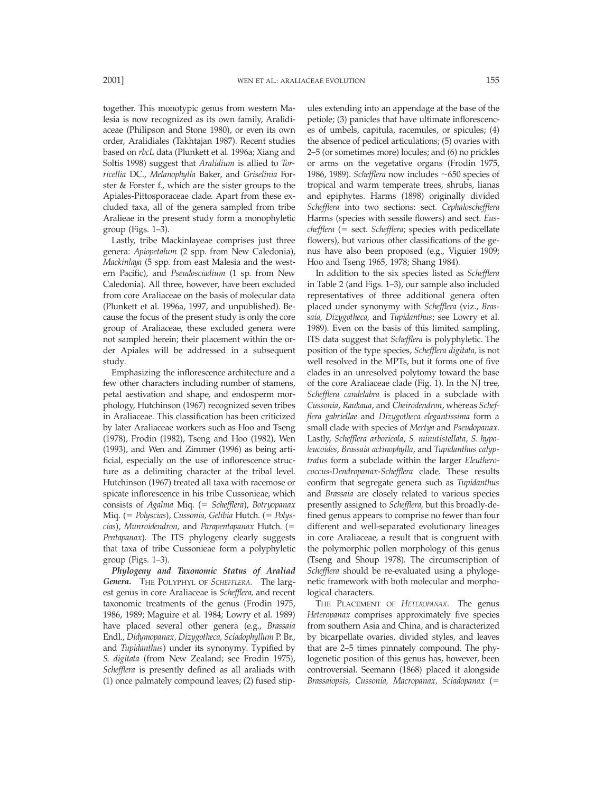together. This monotypic genus from western Malesia is now recognized as its own family, Aralidiaceae (Philipson and Stone 1980), or even its own order, Aralidiales (Takhtajan 1987). Recent studies based on *rbcL* data (Plunkett et al. 1996a; Xiang and Soltis 1998) suggest that *Aralidium* is allied to *Torricellia* DC., *Melanophylla* Baker, and *Griselinia* Forster & Forster f., which are the sister groups to the Apiales-Pittosporaceae clade. Apart from these excluded taxa, all of the genera sampled from tribe Aralieae in the present study form a monophyletic group (Figs. 1–3).

Lastly, tribe Mackinlayeae comprises just three genera: *Apiopetalum* (2 spp. from New Caledonia), *Mackinlaya* (5 spp. from east Malesia and the western Pacific), and *Pseudosciadium* (1 sp. from New Caledonia). All three, however, have been excluded from core Araliaceae on the basis of molecular data (Plunkett et al. 1996a, 1997, and unpublished). Because the focus of the present study is only the core group of Araliaceae, these excluded genera were not sampled herein; their placement within the order Apiales will be addressed in a subsequent study.

Emphasizing the inflorescence architecture and a few other characters including number of stamens, petal aestivation and shape, and endosperm morphology, Hutchinson (1967) recognized seven tribes in Araliaceae. This classification has been criticized by later Araliaceae workers such as Hoo and Tseng (1978), Frodin (1982), Tseng and Hoo (1982), Wen (1993), and Wen and Zimmer (1996) as being artificial, especially on the use of inflorescence structure as a delimiting character at the tribal level. Hutchinson (1967) treated all taxa with racemose or spicate inflorescence in his tribe Cussonieae, which consists of *Agalma* Miq. (= *Schefflera*), *Botryopanax* Miq. (5 *Polyscias*), *Cussonia, Gelibia* Hutch. (5 *Polyscias*), *Munroidendron*, and *Parapentapanax* Hutch. (= *Pentapanax*). The ITS phylogeny clearly suggests that taxa of tribe Cussonieae form a polyphyletic group (Figs. 1–3).

*Phylogeny and Taxonomic Status of Araliad Genera.* THE POLYPHYL OF *SCHEFFLERA*. The largest genus in core Araliaceae is *Schefflera,* and recent taxonomic treatments of the genus (Frodin 1975, 1986, 1989; Maguire et al. 1984; Lowry et al. 1989) have placed several other genera (e.g., *Brassaia* Endl., *Didymopanax, Dizygotheca, Sciadophyllum* P. Br., and *Tupidanthus*) under its synonymy. Typified by *S. digitata* (from New Zealand; see Frodin 1975), *Schefflera* is presently defined as all araliads with (1) once palmately compound leaves; (2) fused stipules extending into an appendage at the base of the petiole; (3) panicles that have ultimate inflorescences of umbels, capitula, racemules, or spicules; (4) the absence of pedicel articulations; (5) ovaries with 2–5 (or sometimes more) locules; and (6) no prickles or arms on the vegetative organs (Frodin 1975, 1986, 1989). *Schefflera* now includes  $\sim$  650 species of tropical and warm temperate trees, shrubs, lianas and epiphytes. Harms (1898) originally divided *Schefflera* into two sections: sect. *Cephaloschefflera* Harms (species with sessile flowers) and sect. *Euschefflera* (= sect. *Schefflera*; species with pedicellate flowers), but various other classifications of the genus have also been proposed (e.g., Viguier 1909; Hoo and Tseng 1965, 1978; Shang 1984).

In addition to the six species listed as *Schefflera* in Table 2 (and Figs. 1–3), our sample also included representatives of three additional genera often placed under synonymy with *Schefflera* (viz., *Brassaia, Dizygotheca,* and *Tupidanthus*; see Lowry et al. 1989). Even on the basis of this limited sampling, ITS data suggest that *Schefflera* is polyphyletic. The position of the type species, *Schefflera digitata,* is not well resolved in the MPTs, but it forms one of five clades in an unresolved polytomy toward the base of the core Araliaceae clade (Fig. 1). In the NJ tree, *Schefflera candelabra* is placed in a subclade with *Cussonia*, *Raukaua*, and *Cheirodendron*, whereas *Schefflera gabriellae* and *Dizygotheca elegantissima* form a small clade with species of *Mertya* and *Pseudopanax.* Lastly, *Schefflera arboricola*, *S. minutistellata*, *S. hypoleucoides*, *Brassaia actinophylla*, and *Tupidanthus calyptratus* form a subclade within the larger *Eleutherococcus*-*Dendropanax*-*Schefflera* clade. These results confirm that segregate genera such as *Tupidanthus* and *Brassaia* are closely related to various species presently assigned to *Schefflera,* but this broadly-defined genus appears to comprise no fewer than four different and well-separated evolutionary lineages in core Araliaceae, a result that is congruent with the polymorphic pollen morphology of this genus (Tseng and Shoup 1978). The circumscription of *Schefflera* should be re-evaluated using a phylogenetic framework with both molecular and morphological characters.

THE PLACEMENT OF *HETEROPANAX.* The genus *Heteropanax* comprises approximately five species from southern Asia and China, and is characterized by bicarpellate ovaries, divided styles, and leaves that are 2–5 times pinnately compound. The phylogenetic position of this genus has, however, been controversial. Seemann (1868) placed it alongside Brassaiopsis, Cussonia, Macropanax, Sciadopanax (=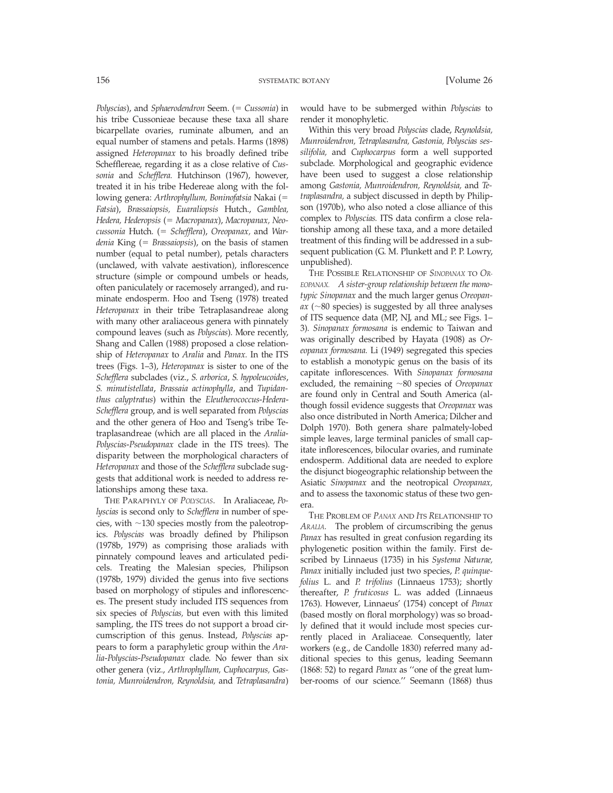*Polyscias*), and *Sphaerodendron* Seem. (= *Cussonia*) in his tribe Cussonieae because these taxa all share bicarpellate ovaries, ruminate albumen, and an equal number of stamens and petals. Harms (1898) assigned *Heteropanax* to his broadly defined tribe Schefflereae, regarding it as a close relative of *Cussonia* and *Schefflera.* Hutchinson (1967), however, treated it in his tribe Hedereae along with the following genera: Arthrophyllum, Boninofatsia Nakai (= *Fatsia*), *Brassaiopsis, Euaraliopsis* Hutch., *Gamblea, Hedera, Hederopsis* (5 *Macropanax*), *Macropanax, Neocussonia* Hutch. (5 *Schefflera*), *Oreopanax,* and *Wardenia* King (5 *Brassaiopsis*), on the basis of stamen number (equal to petal number), petals characters (unclawed, with valvate aestivation), inflorescence structure (simple or compound umbels or heads, often paniculately or racemosely arranged), and ruminate endosperm. Hoo and Tseng (1978) treated *Heteropanax* in their tribe Tetraplasandreae along with many other araliaceous genera with pinnately compound leaves (such as *Polyscias*). More recently, Shang and Callen (1988) proposed a close relationship of *Heteropanax* to *Aralia* and *Panax.* In the ITS trees (Figs. 1–3), *Heteropanax* is sister to one of the *Schefflera* subclades (viz., *S. arborica*, *S. hypoleucoides*, *S. minutistellata*, *Brassaia actinophylla*, and *Tupidanthus calyptratus*) within the *Eleutherococcus*-*Hedera*-*Schefflera* group, and is well separated from *Polyscias* and the other genera of Hoo and Tseng's tribe Tetraplasandreae (which are all placed in the *Aralia*-*Polyscias*-*Pseudopanax* clade in the ITS trees). The disparity between the morphological characters of *Heteropanax* and those of the *Schefflera* subclade suggests that additional work is needed to address relationships among these taxa.

THE PARAPHYLY OF *POLYSCIAS*. In Araliaceae, *Polyscias* is second only to *Schefflera* in number of species, with  $\sim$ 130 species mostly from the paleotropics. *Polyscias* was broadly defined by Philipson (1978b, 1979) as comprising those araliads with pinnately compound leaves and articulated pedicels. Treating the Malesian species, Philipson (1978b, 1979) divided the genus into five sections based on morphology of stipules and inflorescences. The present study included ITS sequences from six species of *Polyscias,* but even with this limited sampling, the ITS trees do not support a broad circumscription of this genus. Instead, *Polyscias* appears to form a paraphyletic group within the *Aralia*-*Polyscias*-*Pseudopanax* clade. No fewer than six other genera (viz., *Arthrophyllum, Cuphocarpus, Gastonia, Munroidendron, Reynoldsia,* and *Tetraplasandra*) would have to be submerged within *Polyscias* to render it monophyletic.

Within this very broad *Polyscias* clade, *Reynoldsia, Munroidendron, Tetraplasandra, Gastonia, Polyscias sessilifolia,* and *Cuphocarpus* form a well supported subclade. Morphological and geographic evidence have been used to suggest a close relationship among *Gastonia, Munroidendron, Reynoldsia,* and *Tetraplasandra,* a subject discussed in depth by Philipson (1970b), who also noted a close alliance of this complex to *Polyscias.* ITS data confirm a close relationship among all these taxa, and a more detailed treatment of this finding will be addressed in a subsequent publication (G. M. Plunkett and P. P. Lowry, unpublished).

THE POSSIBLE RELATIONSHIP OF *SINOPANAX* TO *OR-EOPANAX. A sister-group relationship between the monotypic Sinopanax* and the much larger genus *Oreopan* $ax$  ( $\sim$ 80 species) is suggested by all three analyses of ITS sequence data (MP, NJ, and ML; see Figs. 1– 3). *Sinopanax formosana* is endemic to Taiwan and was originally described by Hayata (1908) as *Oreopanax formosana.* Li (1949) segregated this species to establish a monotypic genus on the basis of its capitate inflorescences. With *Sinopanax formosana* excluded, the remaining ~80 species of *Oreopanax* are found only in Central and South America (although fossil evidence suggests that *Oreopanax* was also once distributed in North America; Dilcher and Dolph 1970). Both genera share palmately-lobed simple leaves, large terminal panicles of small capitate inflorescences, bilocular ovaries, and ruminate endosperm. Additional data are needed to explore the disjunct biogeographic relationship between the Asiatic *Sinopanax* and the neotropical *Oreopanax,* and to assess the taxonomic status of these two genera.

THE PROBLEM OF *PANAX* AND *I*TS *R*ELATIONSHIP TO *ARALIA.* The problem of circumscribing the genus *Panax* has resulted in great confusion regarding its phylogenetic position within the family. First described by Linnaeus (1735) in his *Systema Naturae, Panax* initially included just two species, *P. quinquefolius* L. and *P. trifolius* (Linnaeus 1753); shortly thereafter, *P. fruticosus* L. was added (Linnaeus 1763). However, Linnaeus' (1754) concept of *Panax* (based mostly on floral morphology) was so broadly defined that it would include most species currently placed in Araliaceae. Consequently, later workers (e.g., de Candolle 1830) referred many additional species to this genus, leading Seemann (1868: 52) to regard *Panax* as ''one of the great lumber-rooms of our science.'' Seemann (1868) thus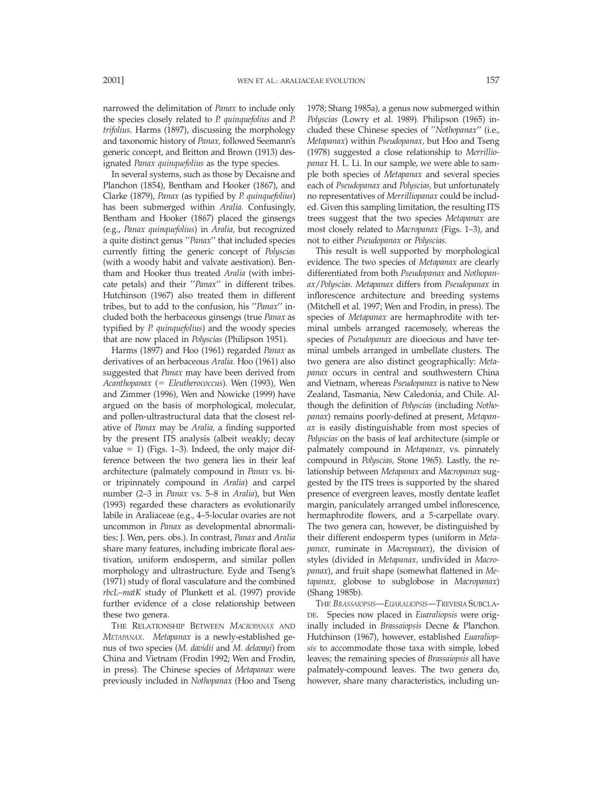narrowed the delimitation of *Panax* to include only the species closely related to *P. quinquefolius* and *P. trifolius*. Harms (1897), discussing the morphology and taxonomic history of *Panax,* followed Seemann's generic concept, and Britton and Brown (1913) designated *Panax quinquefolius* as the type species.

In several systems, such as those by Decaisne and Planchon (1854), Bentham and Hooker (1867), and Clarke (1879), *Panax* (as typified by *P. quinquefolius*) has been submerged within *Aralia.* Confusingly, Bentham and Hooker (1867) placed the ginsengs (e.g., *Panax quinquefolius*) in *Aralia,* but recognized a quite distinct genus ''*Panax*'' that included species currently fitting the generic concept of *Polyscias* (with a woody habit and valvate aestivation). Bentham and Hooker thus treated *Aralia* (with imbricate petals) and their ''*Panax*'' in different tribes. Hutchinson (1967) also treated them in different tribes, but to add to the confusion, his ''*Panax*'' included both the herbaceous ginsengs (true *Panax* as typified by *P. quinquefolius*) and the woody species that are now placed in *Polyscias* (Philipson 1951).

Harms (1897) and Hoo (1961) regarded *Panax* as derivatives of an herbaceous *Aralia.* Hoo (1961) also suggested that *Panax* may have been derived from *Acanthopanax* (5 *Eleutherococcus*). Wen (1993), Wen and Zimmer (1996), Wen and Nowicke (1999) have argued on the basis of morphological, molecular, and pollen-ultrastructural data that the closest relative of *Panax* may be *Aralia,* a finding supported by the present ITS analysis (albeit weakly; decay value  $= 1$ ) (Figs. 1–3). Indeed, the only major difference between the two genera lies in their leaf architecture (palmately compound in *Panax* vs. bior tripinnately compound in *Aralia*) and carpel number (2–3 in *Panax* vs. 5–8 in *Aralia*), but Wen (1993) regarded these characters as evolutionarily labile in Araliaceae (e.g., 4–5-locular ovaries are not uncommon in *Panax* as developmental abnormalities; J. Wen, pers. obs.). In contrast, *Panax* and *Aralia* share many features, including imbricate floral aestivation, uniform endosperm, and similar pollen morphology and ultrastructure. Eyde and Tseng's (1971) study of floral vasculature and the combined *rbcL*–*matK* study of Plunkett et al. (1997) provide further evidence of a close relationship between these two genera.

THE RELATIONSHIP BETWEEN *MACROPANAX* AND *METAPANAX*. *Metapanax* is a newly-established genus of two species (*M. davidii* and *M. delavayi*) from China and Vietnam (Frodin 1992; Wen and Frodin, in press). The Chinese species of *Metapanax* were previously included in *Nothopanax* (Hoo and Tseng 1978; Shang 1985a), a genus now submerged within *Polyscias* (Lowry et al. 1989). Philipson (1965) included these Chinese species of ''*Nothopanax*'' (i.e., *Metapanax*) within *Pseudopanax,* but Hoo and Tseng (1978) suggested a close relationship to *Merrilliopanax* H. L. Li. In our sample, we were able to sample both species of *Metapanax* and several species each of *Pseudopanax* and *Polyscias,* but unfortunately no representatives of *Merrilliopanax* could be included. Given this sampling limitation, the resulting ITS trees suggest that the two species *Metapanax* are most closely related to *Macropanax* (Figs. 1–3), and not to either *Pseudopanax* or *Polyscias.*

This result is well supported by morphological evidence. The two species of *Metapanax* are clearly differentiated from both *Pseudopanax* and *Nothopanax*/*Polyscias. Metapanax* differs from *Pseudopanax* in inflorescence architecture and breeding systems (Mitchell et al. 1997; Wen and Frodin, in press). The species of *Metapanax* are hermaphrodite with terminal umbels arranged racemosely, whereas the species of *Pseudopanax* are dioecious and have terminal umbels arranged in umbellate clusters. The two genera are also distinct geographically: *Metapanax* occurs in central and southwestern China and Vietnam, whereas *Pseudopanax* is native to New Zealand, Tasmania, New Caledonia, and Chile. Although the definition of *Polyscias* (including *Nothopanax*) remains poorly-defined at present, *Metapanax* is easily distinguishable from most species of *Polyscias* on the basis of leaf architecture (simple or palmately compound in *Metapanax,* vs. pinnately compound in *Polyscias,* Stone 1965). Lastly, the relationship between *Metapanax* and *Macropanax* suggested by the ITS trees is supported by the shared presence of evergreen leaves, mostly dentate leaflet margin, paniculately arranged umbel inflorescence, hermaphrodite flowers, and a 5-carpellate ovary. The two genera can, however, be distinguished by their different endosperm types (uniform in *Metapanax,* ruminate in *Macropanax*), the division of styles (divided in *Metapanax,* undivided in *Macropanax*), and fruit shape (somewhat flattened in *Metapanax,* globose to subglobose in *Macropanax*) (Shang 1985b).

THE *BRASSAIOPSIS*—*EUARALIOPSIS*—*T*REVESIA SUBCLA-DE. Species now placed in *Euaraliopsis* were originally included in *Brassaiopsis* Decne & Planchon. Hutchinson (1967), however, established *Euaraliopsis* to accommodate those taxa with simple, lobed leaves; the remaining species of *Brassaiopsis* all have palmately-compound leaves. The two genera do, however, share many characteristics, including un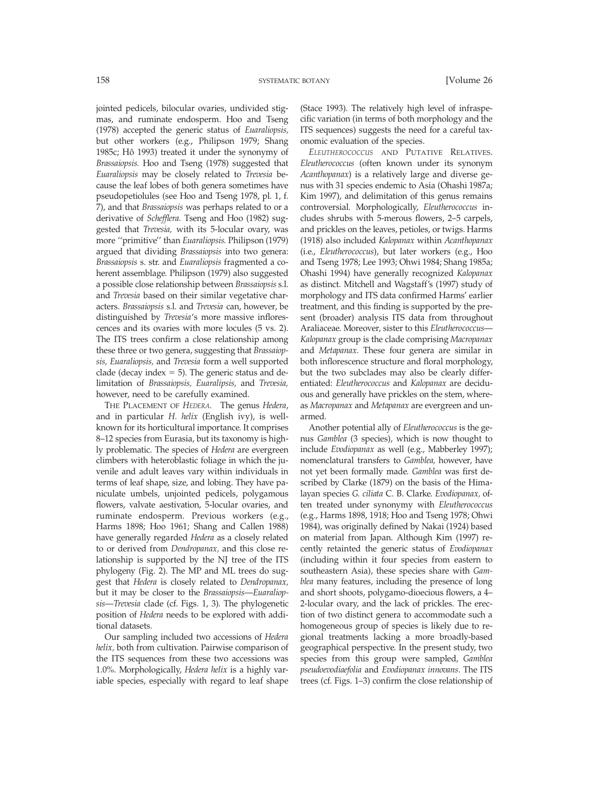jointed pedicels, bilocular ovaries, undivided stigmas, and ruminate endosperm. Hoo and Tseng (1978) accepted the generic status of *Euaraliopsis,* but other workers (e.g., Philipson 1979; Shang 1985c; Hô 1993) treated it under the synonymy of *Brassaiopsis.* Hoo and Tseng (1978) suggested that *Euaraliopsis* may be closely related to *Trevesia* because the leaf lobes of both genera sometimes have pseudopetiolules (see Hoo and Tseng 1978, pl. 1, f. 7), and that *Brassaiopsis* was perhaps related to or a derivative of *Schefflera.* Tseng and Hoo (1982) suggested that *Trevesia,* with its 5-locular ovary, was more ''primitive'' than *Euaraliopsis.* Philipson (1979) argued that dividing *Brassaiopsis* into two genera: *Brassaiopsis* s. str. and *Euaraliopsis* fragmented a coherent assemblage. Philipson (1979) also suggested a possible close relationship between *Brassaiopsis* s.l. and *Trevesia* based on their similar vegetative characters. *Brassaiopsis* s.l. and *Trevesia* can, however, be distinguished by *Trevesia*'s more massive inflorescences and its ovaries with more locules (5 vs. 2). The ITS trees confirm a close relationship among these three or two genera, suggesting that *Brassaiopsis, Euaraliopsis,* and *Trevesia* form a well supported clade (decay index  $= 5$ ). The generic status and delimitation of *Brassaiopsis, Euaralipsis,* and *Trevesia,* however, need to be carefully examined.

THE PLACEMENT OF *HEDERA.* The genus *Hedera*, and in particular *H. helix* (English ivy), is wellknown for its horticultural importance. It comprises 8–12 species from Eurasia, but its taxonomy is highly problematic. The species of *Hedera* are evergreen climbers with heteroblastic foliage in which the juvenile and adult leaves vary within individuals in terms of leaf shape, size, and lobing. They have paniculate umbels, unjointed pedicels, polygamous flowers, valvate aestivation, 5-locular ovaries, and ruminate endosperm. Previous workers (e.g., Harms 1898; Hoo 1961; Shang and Callen 1988) have generally regarded *Hedera* as a closely related to or derived from *Dendropanax,* and this close relationship is supported by the NJ tree of the ITS phylogeny (Fig. 2). The MP and ML trees do suggest that *Hedera* is closely related to *Dendropanax,* but it may be closer to the *Brassaiopsis*—*Euaraliopsis*—*Trevesia* clade (cf. Figs. 1, 3). The phylogenetic position of *Hedera* needs to be explored with additional datasets.

Our sampling included two accessions of *Hedera helix,* both from cultivation. Pairwise comparison of the ITS sequences from these two accessions was 1.0%. Morphologically, *Hedera helix* is a highly variable species, especially with regard to leaf shape (Stace 1993). The relatively high level of infraspecific variation (in terms of both morphology and the ITS sequences) suggests the need for a careful taxonomic evaluation of the species.

*ELEUTHEROCOCCUS* AND PUTATIVE RELATIVES. *Eleutherococcus* (often known under its synonym *Acanthopanax*) is a relatively large and diverse genus with 31 species endemic to Asia (Ohashi 1987a; Kim 1997), and delimitation of this genus remains controversial. Morphologically, *Eleutherococcus* includes shrubs with 5-merous flowers, 2–5 carpels, and prickles on the leaves, petioles, or twigs. Harms (1918) also included *Kalopanax* within *Acanthopanax* (i.e., *Eleutherococcus*), but later workers (e.g., Hoo and Tseng 1978; Lee 1993; Ohwi 1984; Shang 1985a; Ohashi 1994) have generally recognized *Kalopanax* as distinct. Mitchell and Wagstaff's (1997) study of morphology and ITS data confirmed Harms' earlier treatment, and this finding is supported by the present (broader) analysis ITS data from throughout Araliaceae. Moreover, sister to this *Eleutherococcus*— *Kalopanax* group is the clade comprising *Macropanax* and *Metapanax.* These four genera are similar in both inflorescence structure and floral morphology, but the two subclades may also be clearly differentiated: *Eleutherococcus* and *Kalopanax* are deciduous and generally have prickles on the stem, whereas *Macropanax* and *Metapanax* are evergreen and unarmed.

Another potential ally of *Eleutherococcus* is the genus *Gamblea* (3 species), which is now thought to include *Evodiopanax* as well (e.g., Mabberley 1997); nomenclatural transfers to *Gamblea,* however, have not yet been formally made. *Gamblea* was first described by Clarke (1879) on the basis of the Himalayan species *G. ciliata* C. B. Clarke. *Evodiopanax,* often treated under synonymy with *Eleutherococcus* (e.g., Harms 1898, 1918; Hoo and Tseng 1978; Ohwi 1984), was originally defined by Nakai (1924) based on material from Japan. Although Kim (1997) recently retainted the generic status of *Evodiopanax* (including within it four species from eastern to southeastern Asia), these species share with *Gamblea* many features, including the presence of long and short shoots, polygamo-dioecious flowers, a 4– 2-locular ovary, and the lack of prickles. The erection of two distinct genera to accommodate such a homogeneous group of species is likely due to regional treatments lacking a more broadly-based geographical perspective. In the present study, two species from this group were sampled, *Gamblea pseudoevodiaefolia* and *Evodiopanax innovans*. The ITS trees (cf. Figs. 1–3) confirm the close relationship of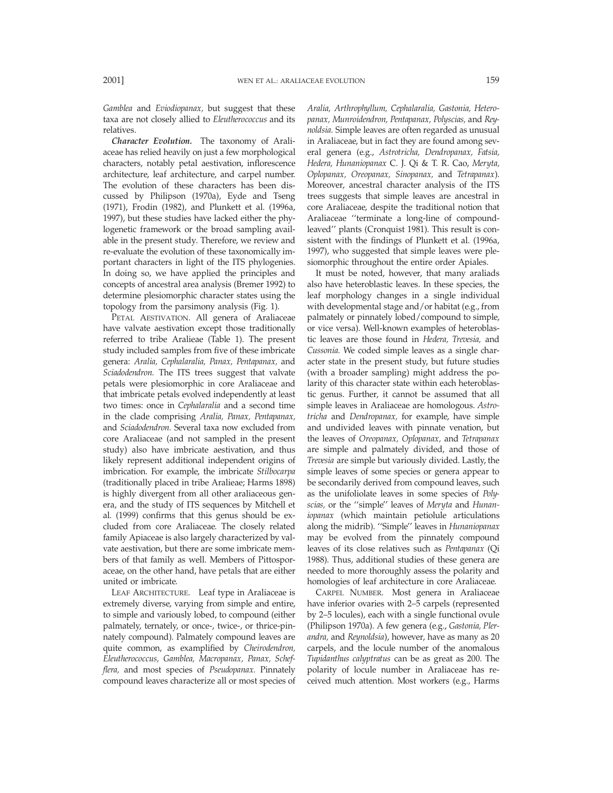*Gamblea* and *Eviodiopanax,* but suggest that these taxa are not closely allied to *Eleutherococcus* and its relatives.

*Character Evolution.* The taxonomy of Araliaceae has relied heavily on just a few morphological characters, notably petal aestivation, inflorescence architecture, leaf architecture, and carpel number. The evolution of these characters has been discussed by Philipson (1970a), Eyde and Tseng (1971), Frodin (1982), and Plunkett et al. (1996a, 1997), but these studies have lacked either the phylogenetic framework or the broad sampling available in the present study. Therefore, we review and re-evaluate the evolution of these taxonomically important characters in light of the ITS phylogenies. In doing so, we have applied the principles and concepts of ancestral area analysis (Bremer 1992) to determine plesiomorphic character states using the topology from the parsimony analysis (Fig. 1).

PETAL AESTIVATION. All genera of Araliaceae have valvate aestivation except those traditionally referred to tribe Aralieae (Table 1). The present study included samples from five of these imbricate genera: *Aralia, Cephalaralia, Panax, Pentapanax,* and *Sciadodendron.* The ITS trees suggest that valvate petals were plesiomorphic in core Araliaceae and that imbricate petals evolved independently at least two times: once in *Cephalaralia* and a second time in the clade comprising *Aralia, Panax, Pentapanax,* and *Sciadodendron.* Several taxa now excluded from core Araliaceae (and not sampled in the present study) also have imbricate aestivation, and thus likely represent additional independent origins of imbrication. For example, the imbricate *Stilbocarpa* (traditionally placed in tribe Aralieae; Harms 1898) is highly divergent from all other araliaceous genera, and the study of ITS sequences by Mitchell et al. (1999) confirms that this genus should be excluded from core Araliaceae. The closely related family Apiaceae is also largely characterized by valvate aestivation, but there are some imbricate members of that family as well. Members of Pittosporaceae, on the other hand, have petals that are either united or imbricate.

LEAF ARCHITECTURE. Leaf type in Araliaceae is extremely diverse, varying from simple and entire, to simple and variously lobed, to compound (either palmately, ternately, or once-, twice-, or thrice-pinnately compound). Palmately compound leaves are quite common, as examplified by *Cheirodendron, Eleutherococcus, Gamblea, Macropanax, Panax, Schefflera,* and most species of *Pseudopanax.* Pinnately compound leaves characterize all or most species of *Aralia, Arthrophyllum, Cephalaralia, Gastonia, Heteropanax, Munroidendron, Pentapanax, Polyscias,* and *Reynoldsia.* Simple leaves are often regarded as unusual in Araliaceae, but in fact they are found among several genera (e.g., *Astrotricha, Dendropanax, Fatsia, Hedera, Hunaniopanax* C. J. Qi & T. R. Cao, *Meryta, Oplopanax, Oreopanax, Sinopanax,* and *Tetrapanax*). Moreover, ancestral character analysis of the ITS trees suggests that simple leaves are ancestral in core Araliaceae, despite the traditional notion that Araliaceae ''terminate a long-line of compoundleaved'' plants (Cronquist 1981). This result is consistent with the findings of Plunkett et al. (1996a, 1997), who suggested that simple leaves were plesiomorphic throughout the entire order Apiales.

It must be noted, however, that many araliads also have heteroblastic leaves. In these species, the leaf morphology changes in a single individual with developmental stage and/or habitat (e.g., from palmately or pinnately lobed/compound to simple, or vice versa). Well-known examples of heteroblastic leaves are those found in *Hedera, Trevesia,* and *Cussonia.* We coded simple leaves as a single character state in the present study, but future studies (with a broader sampling) might address the polarity of this character state within each heteroblastic genus. Further, it cannot be assumed that all simple leaves in Araliaceae are homologous. *Astrotricha* and *Dendropanax,* for example, have simple and undivided leaves with pinnate venation, but the leaves of *Oreopanax, Oplopanax,* and *Tetrapanax* are simple and palmately divided, and those of *Trevesia* are simple but variously divided. Lastly, the simple leaves of some species or genera appear to be secondarily derived from compound leaves, such as the unifoliolate leaves in some species of *Polyscias,* or the ''simple'' leaves of *Meryta* and *Hunaniopanax* (which maintain petiolule articulations along the midrib). ''Simple'' leaves in *Hunaniopanax* may be evolved from the pinnately compound leaves of its close relatives such as *Pentapanax* (Qi 1988). Thus, additional studies of these genera are needed to more thoroughly assess the polarity and homologies of leaf architecture in core Araliaceae.

CARPEL NUMBER. Most genera in Araliaceae have inferior ovaries with 2–5 carpels (represented by 2–5 locules), each with a single functional ovule (Philipson 1970a). A few genera (e.g., *Gastonia, Plerandra,* and *Reynoldsia*), however, have as many as 20 carpels, and the locule number of the anomalous *Tupidanthus calyptratus* can be as great as 200. The polarity of locule number in Araliaceae has received much attention. Most workers (e.g., Harms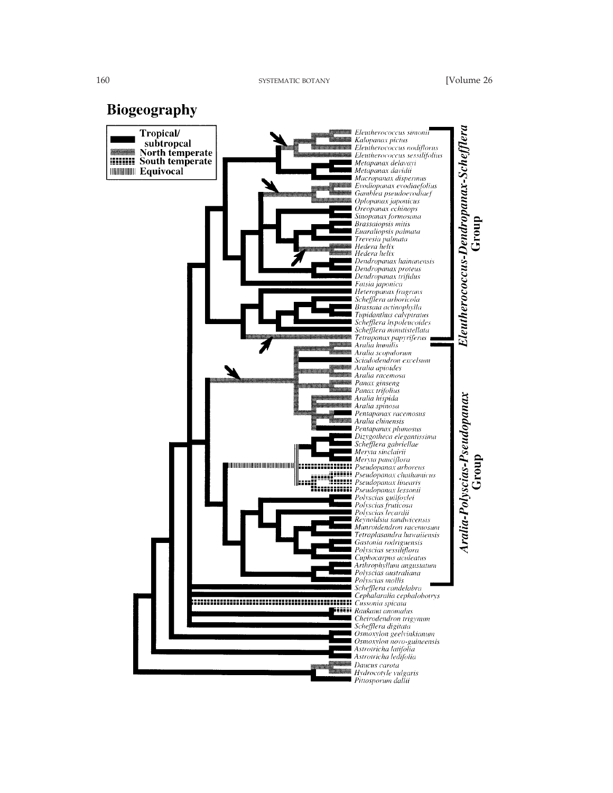**Biogeography** 

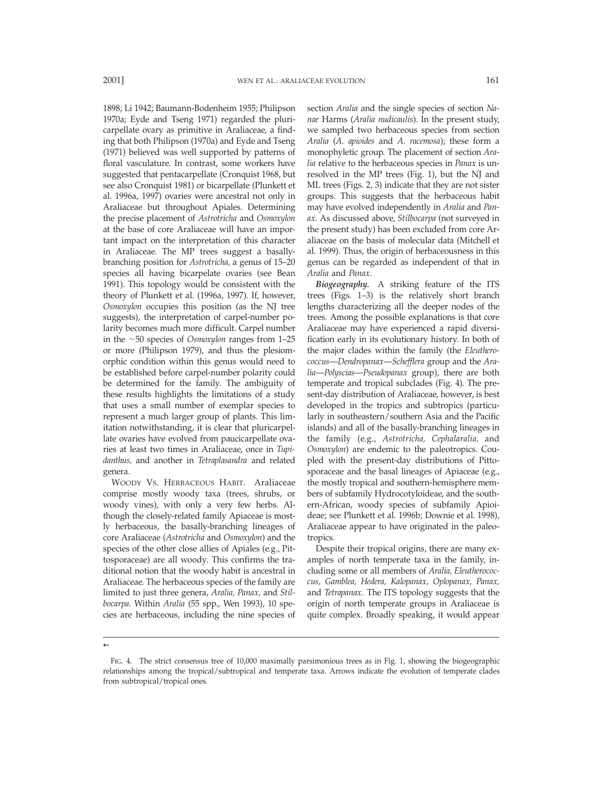1898; Li 1942; Baumann-Bodenheim 1955; Philipson 1970a; Eyde and Tseng 1971) regarded the pluricarpellate ovary as primitive in Araliaceae, a finding that both Philipson (1970a) and Eyde and Tseng (1971) believed was well supported by patterns of floral vasculature. In contrast, some workers have suggested that pentacarpellate (Cronquist 1968, but see also Cronquist 1981) or bicarpellate (Plunkett et al. 1996a, 1997) ovaries were ancestral not only in Araliaceae but throughout Apiales. Determining the precise placement of *Astrotricha* and *Osmoxylon* at the base of core Araliaceae will have an important impact on the interpretation of this character in Araliaceae. The MP trees suggest a basallybranching position for *Astrotricha,* a genus of 15–20 species all having bicarpelate ovaries (see Bean 1991). This topology would be consistent with the theory of Plunkett et al. (1996a, 1997). If, however, *Osmoxylon* occupies this position (as the NJ tree suggests), the interpretation of carpel-number polarity becomes much more difficult. Carpel number in the  $\sim$ 50 species of *Osmoxylon* ranges from 1–25 or more (Philipson 1979), and thus the plesiomorphic condition within this genus would need to be established before carpel-number polarity could be determined for the family. The ambiguity of these results highlights the limitations of a study that uses a small number of exemplar species to represent a much larger group of plants. This limitation notwithstanding, it is clear that pluricarpellate ovaries have evolved from paucicarpellate ovaries at least two times in Araliaceae, once in *Tupidanthus,* and another in *Tetraplasandra* and related genera.

WOODY VS. HERBACEOUS HABIT. Araliaceae comprise mostly woody taxa (trees, shrubs, or woody vines), with only a very few herbs. Although the closely-related family Apiaceae is mostly herbaceous, the basally-branching lineages of core Araliaceae (*Astrotricha* and *Osmoxylon*) and the species of the other close allies of Apiales (e.g., Pittosporaceae) are all woody. This confirms the traditional notion that the woody habit is ancestral in Araliaceae. The herbaceous species of the family are limited to just three genera, *Aralia, Panax,* and *Stilbocarpa.* Within *Aralia* (55 spp., Wen 1993), 10 species are herbaceous, including the nine species of

section *Aralia* and the single species of section *Nanae* Harms (*Aralia nudicaulis*). In the present study, we sampled two herbaceous species from section *Aralia* (*A. apioides* and *A. racemosa*); these form a monophyletic group. The placement of section *Aralia* relative to the herbaceous species in *Panax* is unresolved in the MP trees (Fig. 1), but the NJ and ML trees (Figs. 2, 3) indicate that they are not sister groups. This suggests that the herbaceous habit may have evolved independently in *Aralia* and *Panax.* As discussed above, *Stilbocarpa* (not surveyed in the present study) has been excluded from core Araliaceae on the basis of molecular data (Mitchell et al. 1999). Thus, the origin of herbaceousness in this genus can be regarded as independent of that in *Aralia* and *Panax.*

*Biogeography.* A striking feature of the ITS trees (Figs. 1–3) is the relatively short branch lengths characterizing all the deeper nodes of the trees. Among the possible explanations is that core Araliaceae may have experienced a rapid diversification early in its evolutionary history. In both of the major clades within the family (the *Eleutherococcus*—*Dendropanax*—*Schefflera* group and the *Aralia*—*Polyscias*—*Pseudopanax* group), there are both temperate and tropical subclades (Fig. 4). The present-day distribution of Araliaceae, however, is best developed in the tropics and subtropics (particularly in southeastern/southern Asia and the Pacific islands) and all of the basally-branching lineages in the family (e.g., *Astrotricha, Cephalaralia,* and *Osmoxylon*) are endemic to the paleotropics. Coupled with the present-day distributions of Pittosporaceae and the basal lineages of Apiaceae (e.g., the mostly tropical and southern-hemisphere members of subfamily Hydrocotyloideae, and the southern-African, woody species of subfamily Apioideae; see Plunkett et al. 1996b; Downie et al. 1998), Araliaceae appear to have originated in the paleotropics.

Despite their tropical origins, there are many examples of north temperate taxa in the family, including some or all members of *Aralia, Eleutherococcus, Gamblea, Hedera, Kalopanax, Oplopanax, Panax,* and *Tetrapanax.* The ITS topology suggests that the origin of north temperate groups in Araliaceae is quite complex. Broadly speaking, it would appear

←

FIG. 4. The strict consensus tree of 10,000 maximally parsimonious trees as in Fig. 1, showing the biogeographic relationships among the tropical/subtropical and temperate taxa. Arrows indicate the evolution of temperate clades from subtropical/tropical ones.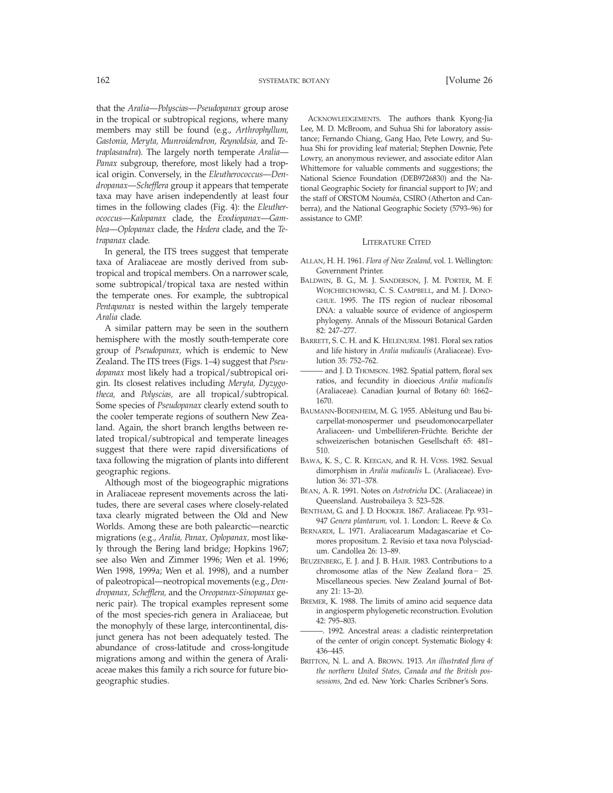that the *Aralia*—*Polyscias*—*Pseudopanax* group arose in the tropical or subtropical regions, where many members may still be found (e.g., *Arthrophyllum, Gastonia, Meryta, Munroidendron, Reynoldsia,* and *Tetraplasandra*). The largely north temperate *Aralia*— *Panax* subgroup, therefore, most likely had a tropical origin. Conversely, in the *Eleutherococcus*—*Dendropanax*—*Schefflera* group it appears that temperate taxa may have arisen independently at least four times in the following clades (Fig. 4): the *Eleutherococcus*—*Kalopanax* clade, the *Evodiopanax*—*Gamblea*—*Oplopanax* clade, the *Hedera* clade, and the *Tetrapanax* clade.

In general, the ITS trees suggest that temperate taxa of Araliaceae are mostly derived from subtropical and tropical members. On a narrower scale, some subtropical/tropical taxa are nested within the temperate ones. For example, the subtropical *Pentapanax* is nested within the largely temperate *Aralia* clade.

A similar pattern may be seen in the southern hemisphere with the mostly south-temperate core group of *Pseudopanax,* which is endemic to New Zealand. The ITS trees (Figs. 1–4) suggest that *Pseudopanax* most likely had a tropical/subtropical origin. Its closest relatives including *Meryta, Dyzygotheca,* and *Polyscias,* are all tropical/subtropical. Some species of *Pseudopanax* clearly extend south to the cooler temperate regions of southern New Zealand. Again, the short branch lengths between related tropical/subtropical and temperate lineages suggest that there were rapid diversifications of taxa following the migration of plants into different geographic regions.

Although most of the biogeographic migrations in Araliaceae represent movements across the latitudes, there are several cases where closely-related taxa clearly migrated between the Old and New Worlds. Among these are both palearctic—nearctic migrations (e.g., *Aralia, Panax, Oplopanax,* most likely through the Bering land bridge; Hopkins 1967; see also Wen and Zimmer 1996; Wen et al. 1996; Wen 1998, 1999a; Wen et al. 1998), and a number of paleotropical—neotropical movements (e.g., *Dendropanax, Schefflera,* and the *Oreopanax*-*Sinopanax* generic pair). The tropical examples represent some of the most species-rich genera in Araliaceae, but the monophyly of these large, intercontinental, disjunct genera has not been adequately tested. The abundance of cross-latitude and cross-longitude migrations among and within the genera of Araliaceae makes this family a rich source for future biogeographic studies.

ACKNOWLEDGEMENTS. The authors thank Kyong-Jia Lee, M. D. McBroom, and Suhua Shi for laboratory assistance; Fernando Chiang, Gang Hao, Pete Lowry, and Suhua Shi for providing leaf material; Stephen Downie, Pete Lowry, an anonymous reviewer, and associate editor Alan Whittemore for valuable comments and suggestions; the National Science Foundation (DEB9726830) and the National Geographic Society for financial support to JW; and the staff of ORSTOM Nouméa, CSIRO (Atherton and Canberra), and the National Geographic Society (5793–96) for assistance to GMP.

#### LITERATURE CITED

- ALLAN, H. H. 1961. *Flora of New Zealand,* vol. 1. Wellington: Government Printer.
- BALDWIN, B. G., M. J. SANDERSON, J. M. PORTER, M. F. WOJCHIECHOWSKI, C. S. CAMPBELL, and M. J. DONO-GHUE. 1995. The ITS region of nuclear ribosomal DNA: a valuable source of evidence of angiosperm phylogeny. Annals of the Missouri Botanical Garden 82: 247–277.
- BARRETT, S. C. H. and K. HELENURM. 1981. Floral sex ratios and life history in *Aralia nudicaulis* (Araliaceae). Evolution 35: 752–762.
- and J. D. THOMSON. 1982. Spatial pattern, floral sex ratios, and fecundity in dioecious *Aralia nudicaulis* (Araliaceae). Canadian Journal of Botany 60: 1662– 1670.
- BAUMANN-BODENHEIM, M. G. 1955. Ableitung und Bau bicarpellat-monospermer und pseudomonocarpellater Araliaceen- und Umbelliferen-Früchte. Berichte der schweizerischen botanischen Gesellschaft 65: 481– 510.
- BAWA, K. S., C. R. KEEGAN, and R. H. VOSS. 1982. Sexual dimorphism in *Aralia nudicaulis* L. (Araliaceae). Evolution 36: 371–378.
- BEAN, A. R. 1991. Notes on *Astrotricha* DC. (Araliaceae) in Queensland. Austrobaileya 3: 523–528.
- BENTHAM, G. and J. D. HOOKER. 1867. Araliaceae. Pp. 931– 947 *Genera plantarum,* vol. 1. London: L. Reeve & Co.
- BERNARDI, L. 1971. Araliacearum Madagascariae et Comores propositum. 2. Revisio et taxa nova Polysciadum. Candollea 26: 13–89.
- BEUZENBERG, E. J. and J. B. HAIR. 1983. Contributions to a chromosome atlas of the New Zealand flora $-25$ . Miscellaneous species. New Zealand Journal of Botany 21: 13–20.
- BREMER, K. 1988. The limits of amino acid sequence data in angiosperm phylogenetic reconstruction. Evolution 42: 795–803.
- -. 1992. Ancestral areas: a cladistic reinterpretation of the center of origin concept. Systematic Biology 4: 436–445.
- BRITTON, N. L. and A. BROWN. 1913. *An illustrated flora of the northern United States, Canada and the British possessions,* 2nd ed. New York: Charles Scribner's Sons.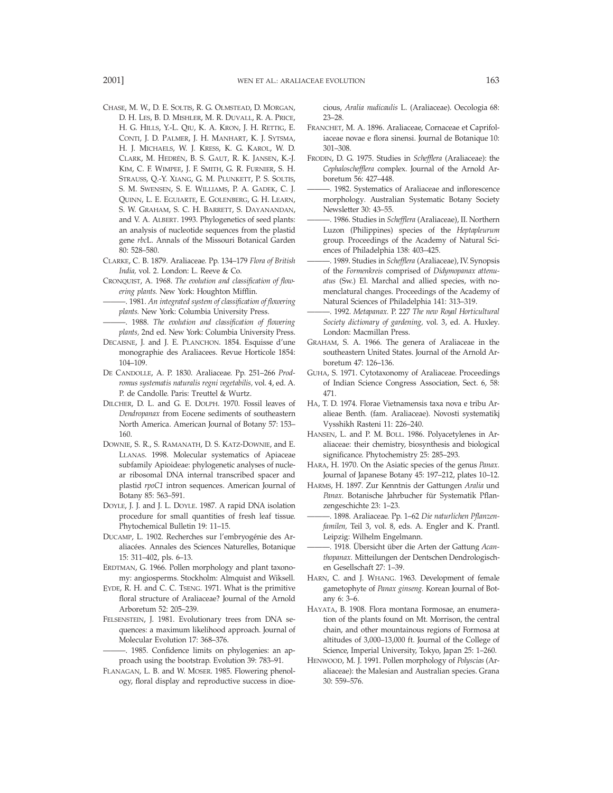- CHASE, M. W., D. E. SOLTIS, R. G. OLMSTEAD, D. MORGAN, D. H. LES, B. D. MISHLER, M. R. DUVALL, R. A. PRICE, H. G. HILLS, Y.-L. QIU, K. A. KRON, J. H. RETTIG, E. CONTI, J. D. PALMER, J. H. MANHART, K. J. SYTSMA, H. J. MICHAELS, W. J. KRESS, K. G. KAROL, W. D. CLARK, M. HEDRÉN, B. S. GAUT, R. K. JANSEN, K.-J. KIM, C. F. WIMPEE, J. F. SMITH, G. R. FURNIER, S. H. STRAUSS, Q.-Y. XIANG, G. M. PLUNKETT, P. S. SOLTIS, S. M. SWENSEN, S. E. WILLIAMS, P. A. GADEK, C. J. QUINN, L. E. EGUIARTE, E. GOLENBERG, G. H. LEARN, S. W. GRAHAM, S. C. H. BARRETT, S. DAYANANDAN, and V. A. ALBERT. 1993. Phylogenetics of seed plants: an analysis of nucleotide sequences from the plastid gene *rbc*L. Annals of the Missouri Botanical Garden 80: 528–580.
- CLARKE, C. B. 1879. Araliaceae. Pp. 134–179 *Flora of British India,* vol. 2. London: L. Reeve & Co.
- CRONQUIST, A. 1968. *The evolution and classification of flowering plants.* New York: Houghton Mifflin.
- ———. 1981. *An integrated system of classification of flowering plants.* New York: Columbia University Press.
- ———. 1988. *The evolution and classification of flowering plants,* 2nd ed. New York: Columbia University Press.
- DECAISNE, J. and J. E. PLANCHON. 1854. Esquisse d'une monographie des Araliacees. Revue Horticole 1854: 104–109.
- DE CANDOLLE, A. P. 1830. Araliaceae. Pp. 251–266 *Prodromus systematis naturalis regni vegetabilis,* vol. 4, ed. A. P. de Candolle. Paris: Treuttel & Wurtz.
- DILCHER, D. L. and G. E. DOLPH. 1970. Fossil leaves of *Dendropanax* from Eocene sediments of southeastern North America. American Journal of Botany 57: 153– 160.
- DOWNIE, S. R., S. RAMANATH, D. S. KATZ-DOWNIE, and E. LLANAS. 1998. Molecular systematics of Apiaceae subfamily Apioideae: phylogenetic analyses of nuclear ribosomal DNA internal transcribed spacer and plastid *rpoC1* intron sequences. American Journal of Botany 85: 563–591.
- DOYLE, J. J. and J. L. DOYLE. 1987. A rapid DNA isolation procedure for small quantities of fresh leaf tissue. Phytochemical Bulletin 19: 11–15.
- DUCAMP, L. 1902. Recherches sur l'embryogénie des Araliacées. Annales des Sciences Naturelles, Botanique 15: 311–402, pls. 6–13.
- ERDTMAN, G. 1966. Pollen morphology and plant taxonomy: angiosperms. Stockholm: Almquist and Wiksell.
- EYDE, R. H. and C. C. TSENG. 1971. What is the primitive floral structure of Araliaceae? Journal of the Arnold Arboretum 52: 205–239.
- FELSENSTEIN, J. 1981. Evolutionary trees from DNA sequences: a maximum likelihood approach. Journal of Molecular Evolution 17: 368–376.
- ———. 1985. Confidence limits on phylogenies: an approach using the bootstrap. Evolution 39: 783–91.
- FLANAGAN, L. B. and W. MOSER. 1985. Flowering phenology, floral display and reproductive success in dioe-

cious, *Aralia nudicaulis* L. (Araliaceae). Oecologia 68: 23–28.

- FRANCHET, M. A. 1896. Araliaceae, Cornaceae et Caprifoliaceae novae e flora sinensi. Journal de Botanique 10: 301–308.
- FRODIN, D. G. 1975. Studies in *Schefflera* (Araliaceae): the *Cephaloschefflera* complex. Journal of the Arnold Arboretum 56: 427–448.
- ———. 1982. Systematics of Araliaceae and inflorescence morphology. Australian Systematic Botany Society Newsletter 30: 43–55.
- ———. 1986. Studies in *Schefflera* (Araliaceae), II. Northern Luzon (Philippines) species of the *Heptapleurum* group. Proceedings of the Academy of Natural Sciences of Philadelphia 138: 403–425.
- ———. 1989. Studies in *Schefflera* (Araliaceae), IV. Synopsis of the *Formenkreis* comprised of *Didymopanax attenuatus* (Sw.) El. Marchal and allied species, with nomenclatural changes. Proceedings of the Academy of Natural Sciences of Philadelphia 141: 313–319.
- ———. 1992. *Metapanax.* P. 227 *The new Royal Horticultural Society dictionary of gardening,* vol. 3, ed. A. Huxley. London: Macmillan Press.
- GRAHAM, S. A. 1966. The genera of Araliaceae in the southeastern United States. Journal of the Arnold Arboretum 47: 126–136.
- GUHA, S. 1971. Cytotaxonomy of Araliaceae. Proceedings of Indian Science Congress Association, Sect. 6, 58: 471.
- HA, T. D. 1974. Florae Vietnamensis taxa nova e tribu Aralieae Benth. (fam. Araliaceae). Novosti systematikj Vysshikh Rasteni 11: 226–240.
- HANSEN, L. and P. M. BOLL. 1986. Polyacetylenes in Araliaceae: their chemistry, biosynthesis and biological significance. Phytochemistry 25: 285–293.
- HARA, H. 1970. On the Asiatic species of the genus *Panax.* Journal of Japanese Botany 45: 197–212, plates 10–12.
- HARMS, H. 1897. Zur Kenntnis der Gattungen *Aralia* und Panax. Botanische Jahrbucher für Systematik Pflanzengeschichte 23: 1–23.
- -. 1898. Araliaceae. Pp. 1-62 Die naturlichen Pflanzen*familen,* Teil 3, vol. 8, eds. A. Engler and K. Prantl. Leipzig: Wilhelm Engelmann.
- ———. 1918. U¨ bersicht u¨ ber die Arten der Gattung *Acanthopanax.* Mitteilungen der Dentschen Dendrologischen Gesellschaft 27: 1–39.
- HARN, C. and J. WHANG. 1963. Development of female gametophyte of *Panax ginseng.* Korean Journal of Botany 6: 3–6.
- HAYATA, B. 1908. Flora montana Formosae, an enumeration of the plants found on Mt. Morrison, the central chain, and other mountainous regions of Formosa at altitudes of 3,000–13,000 ft. Journal of the College of Science, Imperial University, Tokyo, Japan 25: 1–260.
- HENWOOD, M. J. 1991. Pollen morphology of *Polyscias* (Araliaceae): the Malesian and Australian species. Grana 30: 559–576.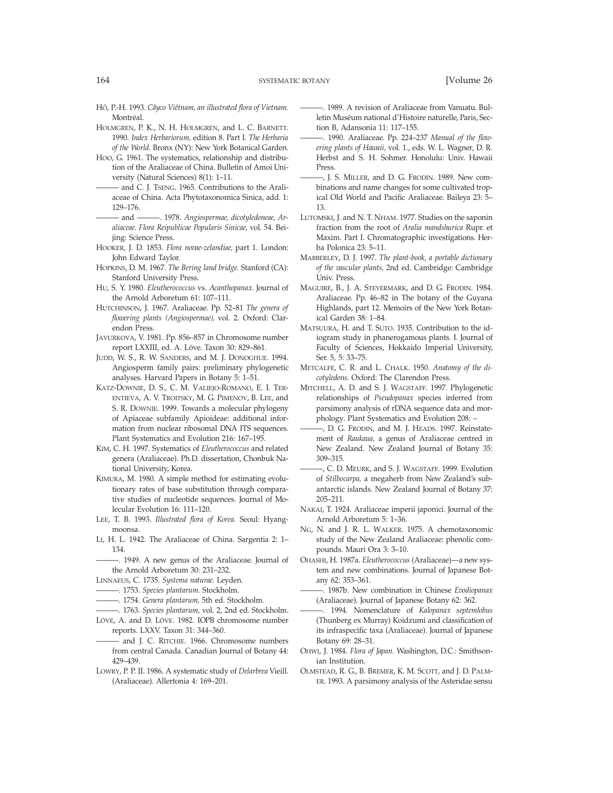- HO, P.-H. 1993. Câyco Viêtnam, an illustrated flora of Vietnam. Montréal.
- HOLMGREN, P. K., N. H. HOLMGREN, and L. C. BARNETT. 1990. *Index Herbariorum,* edition 8. Part I. *The Herbaria of the World.* Bronx (NY): New York Botanical Garden.
- HOO, G. 1961. The systematics, relationship and distribution of the Araliaceae of China. Bulletin of Amoi University (Natural Sciences) 8(1): 1–11.
- and C. J. TSENG. 1965. Contributions to the Araliaceae of China. Acta Phytotaxonomica Sinica, add. 1: 129–176.
- ——— and ———. 1978. *Angiospermae, dicotyledoneae, Araliaceae. Flora Reipublicae Popularis Sinicae,* vol. 54. Beijing: Science Press.
- HOOKER, J. D. 1853. *Flora novae-zelandiae,* part 1. London: John Edward Taylor.
- HOPKINS, D. M. 1967. *The Bering land bridge.* Stanford (CA): Stanford University Press.
- HU, S. Y. 1980. *Eleutherococcus* vs. *Acanthopanax.* Journal of the Arnold Arboretum 61: 107–111.
- HUTCHINSON, J. 1967. Araliaceae. Pp. 52–81 *The genera of flowering plants (Angiospermae),* vol. 2. Oxford: Clarendon Press.
- JAVURKOVA, V. 1981. Pp. 856–857 in Chromosome number report LXXIII, ed. A. Löve. Taxon 30: 829–861.
- JUDD, W. S., R. W. SANDERS, and M. J. DONOGHUE. 1994. Angiosperm family pairs: preliminary phylogenetic analyses. Harvard Papers in Botany 5: 1–51.
- KATZ-DOWNIE, D. S., C. M. VALIEJO-ROMANO, E. I. TER-ENTIEVA, A. V. TROITSKY, M. G. PIMENOV, B. LEE, and S. R. DOWNIE. 1999. Towards a molecular phylogeny of Apiaceae subfamily Apioideae: additional information from nuclear ribosomal DNA ITS sequences. Plant Systematics and Evolution 216: 167–195.
- KIM, C. H. 1997. Systematics of *Eleutherococcus* and related genera (Araliaceae). Ph.D. dissertation, Chonbuk National University, Korea.
- KIMURA, M. 1980. A simple method for estimating evolutionary rates of base substitution through comparative studies of nucleotide sequences. Journal of Molecular Evolution 16: 111–120.
- LEE, T. B. 1993. *Illustrated flora of Korea.* Seoul: Hyangmoonsa.
- LI, H. L. 1942. The Araliaceae of China. Sargentia 2: 1– 134.
- ———. 1949. A new genus of the Araliaceae. Journal of the Arnold Arboretum 30: 231–232.
- LINNAEUS, C. 1735. *Systema naturae.* Leyden.
- ———. 1753. *Species plantarum.* Stockholm.
- ———. 1754. *Genera plantarum,* 5th ed. Stockholm.
- ———. 1763. *Species plantarum,* vol. 2, 2nd ed. Stockholm. LÖVE, A. and D. LÖVE. 1982. IOPB chromosome number
- reports. LXXV. Taxon 31: 344–360. - and J. C. RITCHIE. 1966. Chromosome numbers from central Canada. Canadian Journal of Botany 44: 429–439.
- LOWRY, P. P. II. 1986. A systematic study of *Delarbrea* Vieill. (Araliaceae). Allertonia 4: 169–201.
- ———. 1989. A revision of Araliaceae from Vanuatu. Bulletin Muséum national d'Histoire naturelle, Paris, Section B, Adansonia 11: 117–155.
- ———. 1990. Araliaceae. Pp. 224–237 *Manual of the flowering plants of Hawaii,* vol. 1., eds. W. L. Wagner, D. R. Herbst and S. H. Sohmer. Honolulu: Univ. Hawaii Press.
- ———, J. S. MILLER, and D. G. FRODIN. 1989. New combinations and name changes for some cultivated tropical Old World and Pacific Araliaceae. Baileya 23: 5– 13.
- LUTOMSKI, J. and N. T. NHAM. 1977. Studies on the saponin fraction from the root of *Aralia mandshurica* Rupr. et Maxim. Part I. Chromatographic investigations. Herba Polonica 23: 5–11.
- MABBERLEY, D. J. 1997. *The plant-book, a portable dictionary of the vascular plants,* 2nd ed. Cambridge: Cambridge Univ. Press.
- MAGUIRE, B., J. A. STEYERMARK, and D. G. FRODIN. 1984. Araliaceae. Pp. 46–82 in The botany of the Guyana Highlands, part 12. Memoirs of the New York Botanical Garden 38: 1–84.
- MATSUURA, H. and T. SUTO. 1935. Contribution to the idiogram study in phanerogamous plants. I. Journal of Faculty of Sciences, Hokkaido Imperial University, Ser. 5, 5: 33–75.
- METCALFE, C. R. and L. CHALK. 1950. *Anatomy of the dicotyledons.* Oxford: The Clarendon Press.
- MITCHELL, A. D. and S. J. WAGSTAFF. 1997. Phylogenetic relationships of *Pseudopanax* species inferred from parsimony analysis of rDNA sequence data and morphology. Plant Systematics and Evolution 208: –
	- ———, D. G. FRODIN, and M. J. HEADS. 1997. Reinstatement of *Raukaua,* a genus of Araliaceae centred in New Zealand. New Zealand Journal of Botany 35: 309–315.
- C. D. MEURK, and S. J. WAGSTAFF. 1999. Evolution of *Stilbocarpa,* a megaherb from New Zealand's subantarctic islands. New Zealand Journal of Botany 37: 205–211.
- NAKAI, T. 1924. Araliaceae imperii japonici. Journal of the Arnold Arboretum 5: 1–36.
- NG, N. and J. R. L. WALKER. 1975. A chemotaxonomic study of the New Zealand Araliaceae: phenolic compounds. Mauri Ora 3: 3–10.
- OHASHI, H. 1987a. *Eleutherococcus* (Araliaceae)—a new system and new combinations. Journal of Japanese Botany 62: 353–361.
- ———. 1987b. New combination in Chinese *Evodiopanax* (Araliaceae). Journal of Japanese Botany 62: 362.
- ———. 1994. Nomenclature of *Kalopanax septemlobus* (Thunberg ex Murray) Koidzumi and classification of its infraspecific taxa (Araliaceae). Journal of Japanese Botany 69: 28–31.
- OHWI, J. 1984. *Flora of Japan.* Washington, D.C.: Smithsonian Institution.
- OLMSTEAD, R. G., B. BREMER, K. M. SCOTT, and J. D. PALM-ER. 1993. A parsimony analysis of the Asteridae sensu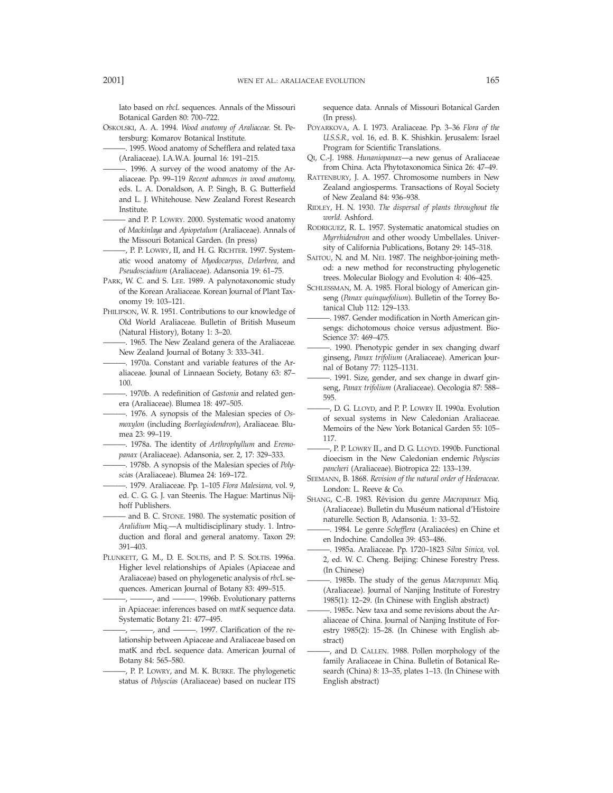lato based on *rbcL* sequences. Annals of the Missouri Botanical Garden 80: 700–722.

- OSKOLSKI, A. A. 1994. *Wood anatomy of Araliaceae.* St. Petersburg: Komarov Botanical Institute.
- -. 1995. Wood anatomy of Schefflera and related taxa (Araliaceae). I.A.W.A. Journal 16: 191–215.
- -. 1996. A survey of the wood anatomy of the Araliaceae. Pp. 99–119 *Recent advances in wood anatomy,* eds. L. A. Donaldson, A. P. Singh, B. G. Butterfield and L. J. Whitehouse. New Zealand Forest Research Institute.
- and P. P. LOWRY. 2000. Systematic wood anatomy of *Mackinlaya* and *Apiopetalum* (Araliaceae). Annals of the Missouri Botanical Garden. (In press)
- ———, P. P. LOWRY, II, and H. G. RICHTER. 1997. Systematic wood anatomy of *Myodocarpus, Delarbrea,* and *Pseudosciadium* (Araliaceae). Adansonia 19: 61–75.
- PARK, W. C. and S. LEE. 1989. A palynotaxonomic study of the Korean Araliaceae. Korean Journal of Plant Taxonomy 19: 103–121.
- PHILIPSON, W. R. 1951. Contributions to our knowledge of Old World Araliaceae. Bulletin of British Museum (Natural History), Botany 1: 3–20.
	- -. 1965. The New Zealand genera of the Araliaceae. New Zealand Journal of Botany 3: 333–341.
	- -. 1970a. Constant and variable features of the Araliaceae. Jounal of Linnaean Society, Botany 63: 87– 100.
	- ———. 1970b. A redefinition of *Gastonia* and related genera (Araliaceae). Blumea 18: 497–505.
- ———. 1976. A synopsis of the Malesian species of *Osmoxylon* (including *Boerlagiodendron*), Araliaceae. Blumea 23: 99–119.
- ———. 1978a. The identity of *Arthrophyllum* and *Eremopanax* (Araliaceae). Adansonia, ser. 2, 17: 329–333.
- -. 1978b. A synopsis of the Malesian species of *Polyscias* (Araliaceae). Blumea 24: 169–172.
- ———. 1979. Araliaceae. Pp. 1–105 *Flora Malesiana,* vol. 9, ed. C. G. G. J. van Steenis. The Hague: Martinus Nijhoff Publishers.
- and B. C. STONE. 1980. The systematic position of *Aralidium* Miq.—A multidisciplinary study. 1. Introduction and floral and general anatomy. Taxon 29: 391–403.
- PLUNKETT, G. M., D. E. SOLTIS, and P. S. SOLTIS. 1996a. Higher level relationships of Apiales (Apiaceae and Araliaceae) based on phylogenetic analysis of *rbc*L sequences. American Journal of Botany 83: 499–515.
- ———, ———, and ———. 1996b. Evolutionary patterns in Apiaceae: inferences based on *matK* sequence data. Systematic Botany 21: 477–495.
- $-$ ,  $-$ , and  $-$ . 1997. Clarification of the relationship between Apiaceae and Araliaceae based on matK and rbcL sequence data. American Journal of Botany 84: 565–580.
- -, P. P. LOWRY, and M. K. BURKE. The phylogenetic status of *Polyscias* (Araliaceae) based on nuclear ITS

sequence data. Annals of Missouri Botanical Garden (In press).

- POYARKOVA, A. I. 1973. Araliaceae. Pp. 3–36 *Flora of the U.S.S.R.,* vol. 16, ed. B. K. Shishkin. Jerusalem: Israel Program for Scientific Translations.
- QI, C.-J. 1988. *Hunaniopanax*—a new genus of Araliaceae from China. Acta Phytotaxonomica Sinica 26: 47–49.
- RATTENBURY, J. A. 1957. Chromosome numbers in New Zealand angiosperms. Transactions of Royal Society of New Zealand 84: 936–938.
- RIDLEY, H. N. 1930. *The dispersal of plants throughout the world.* Ashford.
- RODRIGUEZ, R. L. 1957. Systematic anatomical studies on *Myrrhidendron* and other woody Umbellales. University of California Publications, Botany 29: 145–318.
- SAITOU, N. and M. NEI. 1987. The neighbor-joining method: a new method for reconstructing phylogenetic trees. Molecular Biology and Evolution 4: 406–425.
- SCHLESSMAN, M. A. 1985. Floral biology of American ginseng (*Panax quinquefolium*). Bulletin of the Torrey Botanical Club 112: 129–133.
- 1987. Gender modification in North American ginsengs: dichotomous choice versus adjustment. Bio-Science 37: 469–475.
- -. 1990. Phenotypic gender in sex changing dwarf ginseng, *Panax trifolium* (Araliaceae). American Journal of Botany 77: 1125–1131.
- ———. 1991. Size, gender, and sex change in dwarf ginseng, *Panax trifolium* (Araliaceae). Oecologia 87: 588– 595.
- ———, D. G. LLOYD, and P. P. LOWRY II. 1990a. Evolution of sexual systems in New Caledonian Araliaceae. Memoirs of the New York Botanical Garden 55: 105– 117.
- ———, P. P. LOWRY II., and D. G. LLOYD. 1990b. Functional dioecism in the New Caledonian endemic *Polyscias pancheri* (Araliaceae). Biotropica 22: 133–139.
- SEEMANN, B. 1868. *Revision of the natural order of Hederaceae.* London: L. Reeve & Co.
- SHANG, C.-B. 1983. Révision du genre *Macropanax* Miq. (Araliaceae). Bulletin du Muséum national d'Histoire naturelle. Section B, Adansonia. 1: 33–52.
- -. 1984. Le genre Schefflera (Araliacées) en Chine et en Indochine. Candollea 39: 453–486.
- ———. 1985a. Araliaceae. Pp. 1720–1823 *Silva Sinica,* vol. 2, ed. W. C. Cheng. Beijing: Chinese Forestry Press. (In Chinese)
- ———. 1985b. The study of the genus *Macropanax* Miq. (Araliaceae). Journal of Nanjing Institute of Forestry 1985(1): 12–29. (In Chinese with English abstract)
- ———. 1985c. New taxa and some revisions about the Araliaceae of China. Journal of Nanjing Institute of Forestry 1985(2): 15–28. (In Chinese with English abstract)
- -, and D. CALLEN. 1988. Pollen morphology of the family Araliaceae in China. Bulletin of Botanical Research (China) 8: 13–35, plates 1–13. (In Chinese with English abstract)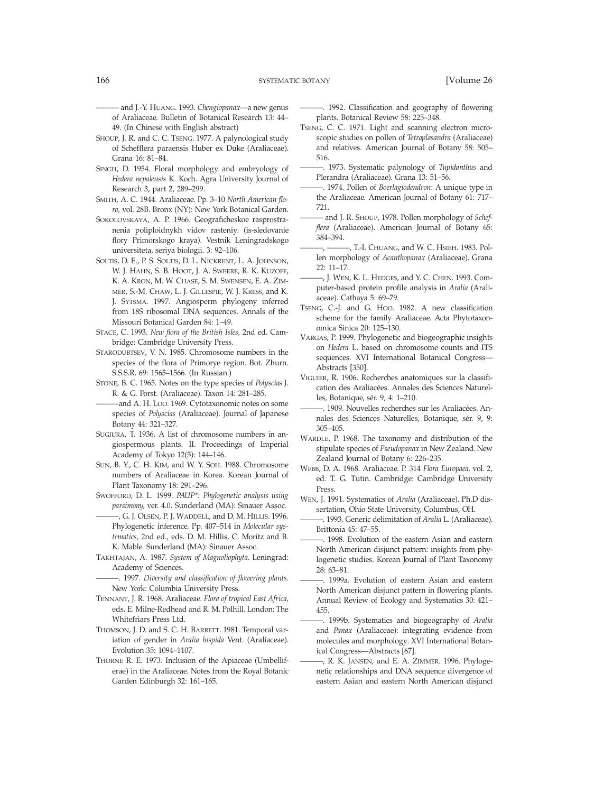——— and J.-Y. HUANG. 1993. *Chengiopanax*—a new genus of Araliaceae. Bulletin of Botanical Research 13: 44– 49. (In Chinese with English abstract)

- SHOUP, J. R. and C. C. TSENG. 1977. A palynological study of Schefflera paraensis Huber ex Duke (Araliaceae). Grana 16: 81–84.
- SINGH, D. 1954. Floral morphology and embryology of *Hedera nepalensis* K. Koch. Agra University Journal of Research 3, part 2, 289–299.
- SMITH, A. C. 1944. Araliaceae. Pp. 3–10 *North American flora,* vol. 28B. Bronx (NY): New York Botanical Garden.
- SOKOLOVSKAYA, A. P. 1966. Geograficheskoe rasprostranenia poliploidnykh vidov rasteniy. (is-sledovanie flory Primorskogo kraya). Vestnik Leningradskogo universiteta, seriya biologii. 3: 92–106.
- SOLTIS, D. E., P. S. SOLTIS, D. L. NICKRENT, L. A. JOHNSON, W. J. HAHN, S. B. HOOT, J. A. SWEERE, R. K. KUZOFF, K. A. KRON, M. W. CHASE, S. M. SWENSEN, E. A. ZIM-MER, S.-M. CHAW, L. J. GILLESPIE, W. J. KRESS, and K. J. SYTSMA. 1997. Angiosperm phylogeny inferred from 18S ribosomal DNA sequences. Annals of the Missouri Botanical Garden 84: 1–49.
- STACE, C. 1993. *New flora of the British Isles,* 2nd ed. Cambridge: Cambridge University Press.
- STARODUBTSEV, V. N. 1985. Chromosome numbers in the species of the flora of Primorye region. Bot. Zhurn. S.S.S.R. 69: 1565–1566. (In Russian.)
- STONE, B. C. 1965. Notes on the type species of *Polyscias* J. R. & G. Forst. (Araliaceae). Taxon 14: 281–285.
- ———and A. H. LOO. 1969. Cytotaxonomic notes on some species of *Polyscias* (Araliaceae). Journal of Japanese Botany 44: 321–327.
- SUGIURA, T. 1936. A list of chromosome numbers in angiospermous plants. II. Proceedings of Imperial Academy of Tokyo 12(5): 144–146.
- SUN, B. Y., C. H. KIM, and W. Y. SOH. 1988. Chromosome numbers of Araliaceae in Korea. Korean Journal of Plant Taxonomy 18: 291–296.
- SWOFFORD, D. L. 1999. *PAUP\*: Phylogenetic analysis using parsimony,* ver. 4.0. Sunderland (MA): Sinauer Assoc.
- ———, G. J. OLSEN, P. J. WADDELL, and D. M. HILLIS. 1996. Phylogenetic inference. Pp. 407–514 in *Molecular systematics,* 2nd ed., eds. D. M. Hillis, C. Moritz and B. K. Mable. Sunderland (MA): Sinauer Assoc.
- TAKHTAJAN, A. 1987. *System of Magnoliophyta.* Leningrad: Academy of Sciences.
- ———. 1997. *Diversity and classification of flowering plants.* New York: Columbia University Press.
- TENNANT, J. R. 1968. Araliaceae. *Flora of tropical East Africa,* eds. E. Milne-Redhead and R. M. Polhill. London: The Whitefriars Press Ltd.
- THOMSON, J. D. and S. C. H. BARRETT. 1981. Temporal variation of gender in *Aralia hispida* Vent. (Araliaceae). Evolution 35: 1094–1107.
- THORNE R. E. 1973. Inclusion of the Apiaceae (Umbelliferae) in the Araliaceae. Notes from the Royal Botanic Garden Edinburgh 32: 161–165.

———. 1992. Classification and geography of flowering plants. Botanical Review 58: 225–348.

- TSENG, C. C. 1971. Light and scanning electron microscopic studies on pollen of *Tetraplasandra* (Araliaceae) and relatives. American Journal of Botany 58: 505– 516.
- ———. 1973. Systematic palynology of *Tupidanthus* and Plerandra (Araliaceae). Grana 13: 51–56.
	- ———. 1974. Pollen of *Boerlagiodendron*: A unique type in the Araliaceae. American Journal of Botany 61: 717– 721.
	- and J. R. SHOUP, 1978. Pollen morphology of *Schefflera* (Araliaceae). American Journal of Botany 65: 384–394.
	- ———, ———, T.-I. CHUANG, and W. C. HSIEH. 1983. Pollen morphology of *Acanthopanax* (Araliaceae). Grana 22: 11–17.
	- ———, J. WEN, K. L. HEDGES, and Y. C. CHEN. 1993. Computer-based protein profile analysis in *Aralia* (Araliaceae). Cathaya 5: 69–79.
- TSENG, C.-J. and G. HOO. 1982. A new classification scheme for the family Araliaceae. Acta Phytotaxonomica Sinica 20: 125–130.
- VARGAS, P. 1999. Phylogenetic and biogeographic insights on *Hedera* L. based on chromosome counts and ITS sequences. XVI International Botanical Congress— Abstracts [350].
- VIGUIER, R. 1906. Recherches anatomiques sur la classification des Araliacées. Annales des Sciences Naturelles, Botanique, sér. 9, 4: 1–210.
- -. 1909. Nouvelles recherches sur les Araliacées. Annales des Sciences Naturelles, Botanique, sér. 9, 9: 305–405.
- WARDLE, P. 1968. The taxonomy and distribution of the stipulate species of *Pseudopanax* in New Zealand. New Zealand Journal of Botany 6: 226–235.
- WEBB, D. A. 1968. Araliaceae. P. 314 *Flora Europaea,* vol. 2, ed. T. G. Tutin. Cambridge: Cambridge University Press.
- WEN, J. 1991. Systematics of *Aralia* (Araliaceae). Ph.D dissertation, Ohio State University, Columbus, OH.
- ———. 1993. Generic delimitation of *Aralia* L. (Araliaceae). Brittonia 45: 47–55.
- -. 1998. Evolution of the eastern Asian and eastern North American disjunct pattern: insights from phylogenetic studies. Korean Journal of Plant Taxonomy 28: 63–81.
- ———. 1999a. Evolution of eastern Asian and eastern North American disjunct pattern in flowering plants. Annual Review of Ecology and Systematics 30: 421– 455.
- ———. 1999b. Systematics and biogeography of *Aralia* and *Panax* (Araliaceae): integrating evidence from molecules and morphology. XVI International Botanical Congress—Abstracts [67].
- ———, R. K. JANSEN, and E. A. ZIMMER. 1996. Phylogenetic relationships and DNA sequence divergence of eastern Asian and eastern North American disjunct